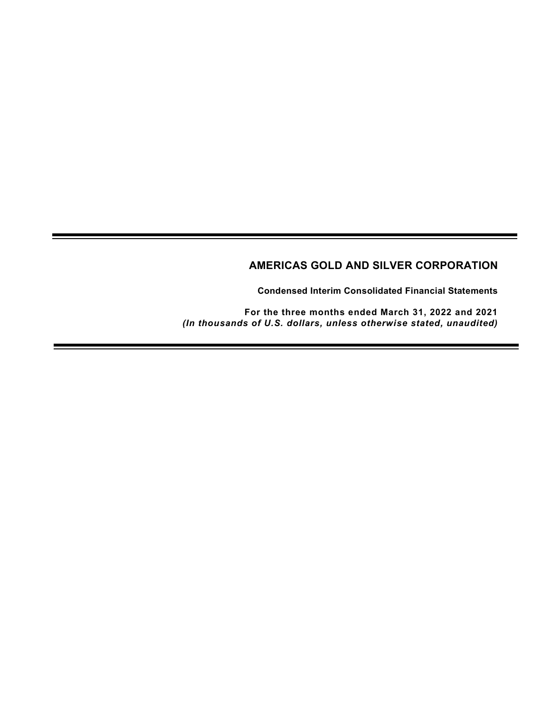# AMERICAS GOLD AND SILVER CORPORATION

Condensed Interim Consolidated Financial Statements

For the three months ended March 31, 2022 and 2021 (In thousands of U.S. dollars, unless otherwise stated, unaudited)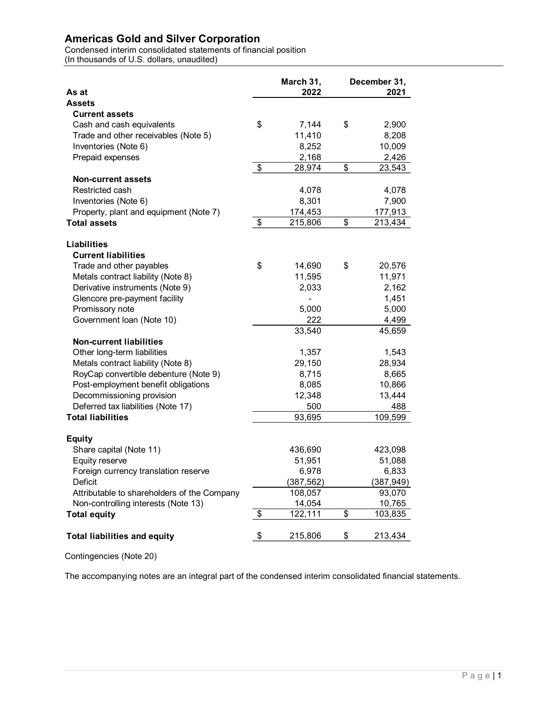| <b>Current assets</b><br>Cash and cash equivalents<br>Trade and other receivables (Note 5)<br>Prepaid expenses<br><b>Non-current assets</b><br>Restricted cash<br>Inventories (Note 6)<br>Property, plant and equipment (Note 7)<br><b>Current liabilities</b><br>Trade and other payables<br>Metals contract liability (Note 8)<br>Derivative instruments (Note 9)<br>Glencore pre-payment facility<br>Promissory note<br>Government Ioan (Note 10) | \$<br>$\boldsymbol{\mathsf{S}}$ | March 31,<br>2022<br>7,144<br>11,410<br>8,252<br>2,168<br>28,974 | \$<br>December 31,<br>2021<br>2,900<br>8,208 |
|------------------------------------------------------------------------------------------------------------------------------------------------------------------------------------------------------------------------------------------------------------------------------------------------------------------------------------------------------------------------------------------------------------------------------------------------------|---------------------------------|------------------------------------------------------------------|----------------------------------------------|
| <b>Americas Gold and Silver Corporation</b><br>Condensed interim consolidated statements of financial position<br>(In thousands of U.S. dollars, unaudited)<br>As at<br><b>Assets</b><br>Inventories (Note 6)<br><b>Total assets</b><br>Liabilities                                                                                                                                                                                                  |                                 |                                                                  |                                              |
|                                                                                                                                                                                                                                                                                                                                                                                                                                                      |                                 |                                                                  |                                              |
|                                                                                                                                                                                                                                                                                                                                                                                                                                                      |                                 |                                                                  |                                              |
|                                                                                                                                                                                                                                                                                                                                                                                                                                                      |                                 |                                                                  |                                              |
|                                                                                                                                                                                                                                                                                                                                                                                                                                                      |                                 |                                                                  |                                              |
|                                                                                                                                                                                                                                                                                                                                                                                                                                                      |                                 |                                                                  |                                              |
|                                                                                                                                                                                                                                                                                                                                                                                                                                                      |                                 |                                                                  |                                              |
|                                                                                                                                                                                                                                                                                                                                                                                                                                                      |                                 |                                                                  |                                              |
|                                                                                                                                                                                                                                                                                                                                                                                                                                                      |                                 |                                                                  |                                              |
|                                                                                                                                                                                                                                                                                                                                                                                                                                                      |                                 |                                                                  |                                              |
|                                                                                                                                                                                                                                                                                                                                                                                                                                                      |                                 |                                                                  |                                              |
|                                                                                                                                                                                                                                                                                                                                                                                                                                                      |                                 |                                                                  | 10,009                                       |
|                                                                                                                                                                                                                                                                                                                                                                                                                                                      |                                 |                                                                  | 2,426                                        |
|                                                                                                                                                                                                                                                                                                                                                                                                                                                      |                                 |                                                                  | \$<br>23,543                                 |
|                                                                                                                                                                                                                                                                                                                                                                                                                                                      |                                 |                                                                  |                                              |
|                                                                                                                                                                                                                                                                                                                                                                                                                                                      |                                 | 4,078<br>8,301                                                   | 4,078<br>7,900                               |
|                                                                                                                                                                                                                                                                                                                                                                                                                                                      |                                 | 174,453                                                          | 177,913                                      |
|                                                                                                                                                                                                                                                                                                                                                                                                                                                      | $\sqrt[6]{3}$                   | 215,806                                                          | \$<br>213,434                                |
|                                                                                                                                                                                                                                                                                                                                                                                                                                                      |                                 |                                                                  |                                              |
|                                                                                                                                                                                                                                                                                                                                                                                                                                                      |                                 |                                                                  |                                              |
|                                                                                                                                                                                                                                                                                                                                                                                                                                                      |                                 |                                                                  |                                              |
|                                                                                                                                                                                                                                                                                                                                                                                                                                                      | \$                              | 14,690                                                           | \$<br>20,576                                 |
|                                                                                                                                                                                                                                                                                                                                                                                                                                                      |                                 | 11,595<br>2,033                                                  | 11,971<br>2,162                              |
|                                                                                                                                                                                                                                                                                                                                                                                                                                                      |                                 | $\blacksquare$                                                   | 1,451                                        |
|                                                                                                                                                                                                                                                                                                                                                                                                                                                      |                                 | 5,000                                                            | 5,000                                        |
|                                                                                                                                                                                                                                                                                                                                                                                                                                                      |                                 | 222                                                              | 4,499                                        |
|                                                                                                                                                                                                                                                                                                                                                                                                                                                      |                                 | 33,540                                                           | 45,659                                       |
| <b>Non-current liabilities</b>                                                                                                                                                                                                                                                                                                                                                                                                                       |                                 |                                                                  |                                              |
| Other long-term liabilities                                                                                                                                                                                                                                                                                                                                                                                                                          |                                 | 1,357                                                            | 1,543                                        |
| Metals contract liability (Note 8)                                                                                                                                                                                                                                                                                                                                                                                                                   |                                 | 29,150                                                           | 28,934                                       |
| RoyCap convertible debenture (Note 9)<br>Post-employment benefit obligations                                                                                                                                                                                                                                                                                                                                                                         |                                 | 8,715<br>8,085                                                   | 8,665<br>10,866                              |
| Decommissioning provision                                                                                                                                                                                                                                                                                                                                                                                                                            |                                 | 12,348                                                           | 13,444                                       |
| Deferred tax liabilities (Note 17)                                                                                                                                                                                                                                                                                                                                                                                                                   |                                 | 500                                                              | 488                                          |
| <b>Total liabilities</b>                                                                                                                                                                                                                                                                                                                                                                                                                             |                                 | 93,695                                                           | 109,599                                      |
|                                                                                                                                                                                                                                                                                                                                                                                                                                                      |                                 |                                                                  |                                              |
| <b>Equity</b>                                                                                                                                                                                                                                                                                                                                                                                                                                        |                                 |                                                                  |                                              |
| Share capital (Note 11)                                                                                                                                                                                                                                                                                                                                                                                                                              |                                 | 436,690                                                          | 423,098                                      |
| Equity reserve                                                                                                                                                                                                                                                                                                                                                                                                                                       |                                 | 51,951                                                           | 51,088                                       |
| Foreign currency translation reserve<br>Deficit                                                                                                                                                                                                                                                                                                                                                                                                      |                                 | 6,978<br>(387, 562)                                              | 6,833<br>(387, 949)                          |
| Attributable to shareholders of the Company                                                                                                                                                                                                                                                                                                                                                                                                          |                                 | 108,057                                                          | 93,070                                       |
| Non-controlling interests (Note 13)                                                                                                                                                                                                                                                                                                                                                                                                                  |                                 | 14,054                                                           | 10,765                                       |
| <b>Total equity</b>                                                                                                                                                                                                                                                                                                                                                                                                                                  | $\frac{1}{2}$                   | 122,111                                                          | \$<br>103,835                                |
| <b>Total liabilities and equity</b>                                                                                                                                                                                                                                                                                                                                                                                                                  | \$                              | 215,806                                                          | \$<br>213,434                                |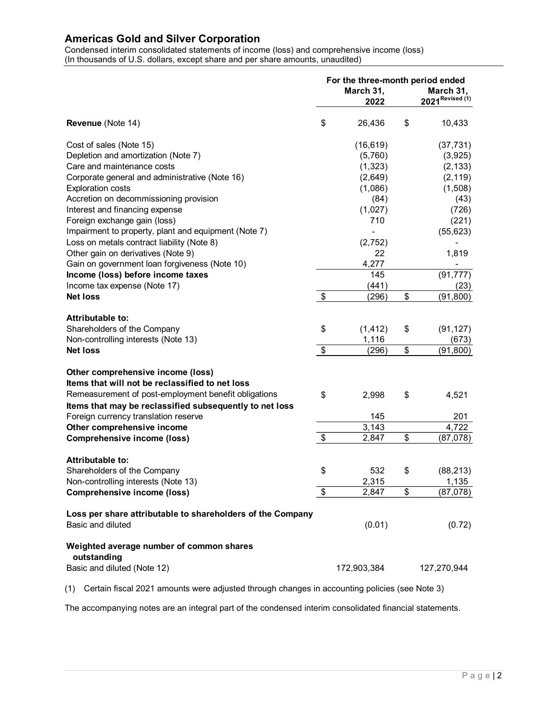|                                                                                 | (In thousands of U.S. dollars, except share and per share amounts, unaudited) | Condensed interim consolidated statements of income (loss) and comprehensive income (loss) |               |                               |
|---------------------------------------------------------------------------------|-------------------------------------------------------------------------------|--------------------------------------------------------------------------------------------|---------------|-------------------------------|
|                                                                                 |                                                                               | For the three-month period ended<br>March 31,                                              |               | March 31,<br>2021 Revised (1) |
|                                                                                 |                                                                               | 2022                                                                                       |               |                               |
| Revenue (Note 14)                                                               | \$                                                                            | 26,436                                                                                     | \$            | 10,433                        |
| Cost of sales (Note 15)                                                         |                                                                               | (16, 619)                                                                                  |               | (37, 731)                     |
| Depletion and amortization (Note 7)                                             |                                                                               | (5,760)                                                                                    |               | (3,925)                       |
| Care and maintenance costs                                                      |                                                                               | (1, 323)                                                                                   |               | (2, 133)                      |
| Corporate general and administrative (Note 16)                                  |                                                                               | (2,649)                                                                                    |               | (2, 119)                      |
| <b>Exploration costs</b>                                                        |                                                                               | (1,086)                                                                                    |               | (1,508)                       |
| Accretion on decommissioning provision                                          |                                                                               | (84)                                                                                       |               | (43)                          |
| Interest and financing expense                                                  |                                                                               | (1,027)                                                                                    |               | (726)                         |
| Foreign exchange gain (loss)                                                    |                                                                               | 710                                                                                        |               | (221)                         |
| Impairment to property, plant and equipment (Note 7)                            |                                                                               |                                                                                            |               | (55, 623)                     |
| Loss on metals contract liability (Note 8)                                      |                                                                               | (2, 752)                                                                                   |               |                               |
| Other gain on derivatives (Note 9)                                              |                                                                               | 22                                                                                         |               | 1,819                         |
| Gain on government loan forgiveness (Note 10)                                   |                                                                               | 4,277                                                                                      |               | $\blacksquare$                |
| Income (loss) before income taxes                                               |                                                                               | 145                                                                                        |               | (91, 777)                     |
| Income tax expense (Note 17)                                                    |                                                                               | (441)                                                                                      |               | (23)                          |
| <b>Net loss</b>                                                                 | \$                                                                            | (296)                                                                                      | \$            | (91, 800)                     |
| <b>Attributable to:</b>                                                         |                                                                               |                                                                                            |               |                               |
| Shareholders of the Company                                                     | \$                                                                            | (1, 412)                                                                                   | \$            | (91, 127)                     |
| Non-controlling interests (Note 13)                                             |                                                                               | 1,116                                                                                      |               | (673)                         |
| <b>Net loss</b>                                                                 | $\$\$                                                                         | (296)                                                                                      | $\frac{2}{3}$ | (91, 800)                     |
|                                                                                 |                                                                               |                                                                                            |               |                               |
| Other comprehensive income (loss)                                               |                                                                               |                                                                                            |               |                               |
| Items that will not be reclassified to net loss                                 |                                                                               |                                                                                            |               |                               |
| Remeasurement of post-employment benefit obligations                            | \$                                                                            | 2,998                                                                                      | \$            | 4,521                         |
| Items that may be reclassified subsequently to net loss                         |                                                                               |                                                                                            |               |                               |
| Foreign currency translation reserve                                            |                                                                               | 145                                                                                        |               | 201                           |
| Other comprehensive income                                                      | \$                                                                            | 3,143<br>2,847                                                                             | \$            | 4,722<br>(87,078)             |
| <b>Comprehensive income (loss)</b>                                              |                                                                               |                                                                                            |               |                               |
| <b>Attributable to:</b>                                                         |                                                                               |                                                                                            |               |                               |
| Shareholders of the Company                                                     | \$                                                                            | 532                                                                                        | \$            | (88, 213)                     |
| Non-controlling interests (Note 13)                                             |                                                                               | 2,315                                                                                      |               | 1,135                         |
| Comprehensive income (loss)                                                     | $\frac{1}{2}$                                                                 | 2,847                                                                                      | \$            | (87,078)                      |
|                                                                                 |                                                                               |                                                                                            |               |                               |
| Loss per share attributable to shareholders of the Company<br>Basic and diluted |                                                                               | (0.01)                                                                                     |               | (0.72)                        |
| Weighted average number of common shares<br>outstanding                         |                                                                               |                                                                                            |               |                               |
| Basic and diluted (Note 12)                                                     |                                                                               | 172,903,384                                                                                |               | 127,270,944                   |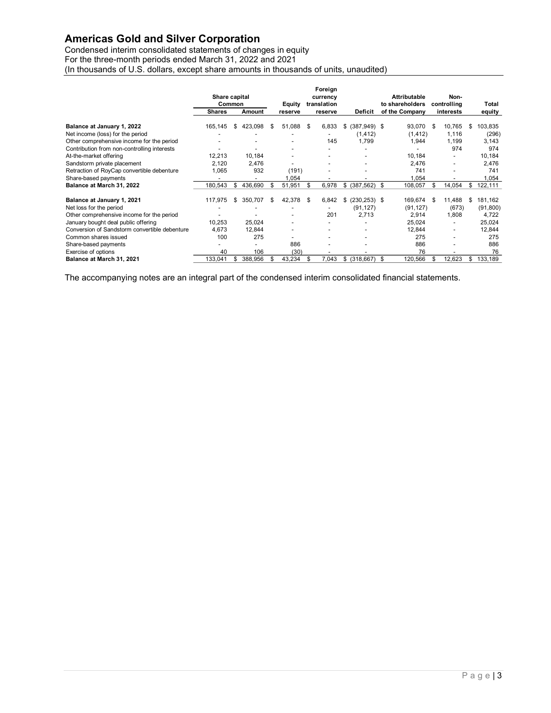| <b>Americas Gold and Silver Corporation</b>                                           |                          |                          |                          |      |                          |                          |                     |                          |                   |
|---------------------------------------------------------------------------------------|--------------------------|--------------------------|--------------------------|------|--------------------------|--------------------------|---------------------|--------------------------|-------------------|
|                                                                                       |                          |                          |                          |      |                          |                          |                     |                          |                   |
| Condensed interim consolidated statements of changes in equity                        |                          |                          |                          |      |                          |                          |                     |                          |                   |
| For the three-month periods ended March 31, 2022 and 2021                             |                          |                          |                          |      |                          |                          |                     |                          |                   |
| (In thousands of U.S. dollars, except share amounts in thousands of units, unaudited) |                          |                          |                          |      |                          |                          |                     |                          |                   |
|                                                                                       |                          |                          |                          |      |                          |                          |                     |                          |                   |
|                                                                                       |                          |                          |                          |      |                          |                          |                     |                          |                   |
|                                                                                       |                          |                          |                          |      |                          |                          |                     |                          |                   |
|                                                                                       |                          |                          |                          |      | Foreign                  |                          |                     |                          |                   |
|                                                                                       | Share capital            |                          |                          |      | currency                 |                          | <b>Attributable</b> | Non-                     |                   |
|                                                                                       |                          | Common                   | Equity                   |      | translation              |                          | to shareholders     | controlling              | Total             |
|                                                                                       | <b>Shares</b>            | Amount                   | reserve                  |      | reserve                  | Deficit                  | of the Company      | interests                | equity            |
| Balance at January 1, 2022                                                            | 165,145                  | 423,098<br>\$            | - \$<br>51.088           | - \$ | 6.833                    | \$ (387,949) \$          | 93,070              | 10,765 \$<br>- \$        | 103,835           |
| Net income (loss) for the period                                                      | $\overline{a}$           |                          |                          |      | $\overline{a}$           | (1, 412)                 | (1, 412)            | 1,116                    | (296)             |
| Other comprehensive income for the period                                             | $\overline{a}$           | $\overline{\phantom{a}}$ |                          |      | 145                      | 1,799                    | 1,944               | 1,199                    | 3,143             |
| Contribution from non-controlling interests                                           | $\overline{a}$           | $\overline{\phantom{a}}$ |                          |      |                          | $\overline{\phantom{a}}$ | $\sim$              | 974                      | 974               |
| At-the-market offering                                                                | 12,213                   | 10,184                   |                          |      |                          |                          | 10,184              |                          | 10,184            |
| Sandstorm private placement                                                           | 2,120                    | 2,476                    | $\overline{\phantom{a}}$ |      |                          |                          | 2,476               |                          | 2,476             |
| Retraction of RoyCap convertible debenture                                            | 1,065                    | 932                      | (191)                    |      |                          |                          | 741                 |                          | 741               |
| Share-based payments                                                                  | $\overline{\phantom{a}}$ | $\overline{\phantom{a}}$ | 1,054                    |      |                          |                          | 1,054               |                          | 1,054             |
| Balance at March 31, 2022                                                             | 180,543                  | 436,690<br>\$            | 51,951 \$<br>\$          |      | 6,978                    | $$ (387,562)$ \$         | 108,057             | -S                       | 14,054 \$ 122,111 |
|                                                                                       |                          |                          |                          |      |                          |                          |                     |                          |                   |
| Balance at January 1, 2021                                                            | 117,975                  | \$ 350,707               | - \$<br>42,378 \$        |      |                          | 6,842 \$ (230,253) \$    | 169,674 \$          | 11,488                   | 181,162<br>\$     |
| Net loss for the period                                                               | $\overline{\phantom{a}}$ |                          |                          |      | $\overline{\phantom{a}}$ | (91, 127)                | (91, 127)           | (673)                    | (91, 800)         |
| Other comprehensive income for the period                                             | $\overline{\phantom{a}}$ | $\overline{a}$           |                          |      | 201                      | 2,713                    | 2,914               | 1,808                    | 4,722             |
| January bought deal public offering                                                   | 10,253                   | 25,024                   |                          |      |                          | $\overline{\phantom{a}}$ | 25,024              | $\overline{\phantom{a}}$ | 25,024            |
| Conversion of Sandstorm convertible debenture                                         | 4,673                    | 12,844                   |                          |      |                          | $\overline{\phantom{a}}$ | 12,844              |                          | 12,844            |
| Common shares issued                                                                  | 100                      | 275                      |                          |      |                          |                          | 275                 |                          | 275               |
| Share-based payments                                                                  | $\sim$                   | $\overline{\phantom{a}}$ | 886                      |      |                          |                          | 886                 |                          | 886               |
| Exercise of options                                                                   | 40                       | 106                      |                          | (30) |                          |                          | 76                  |                          | 76                |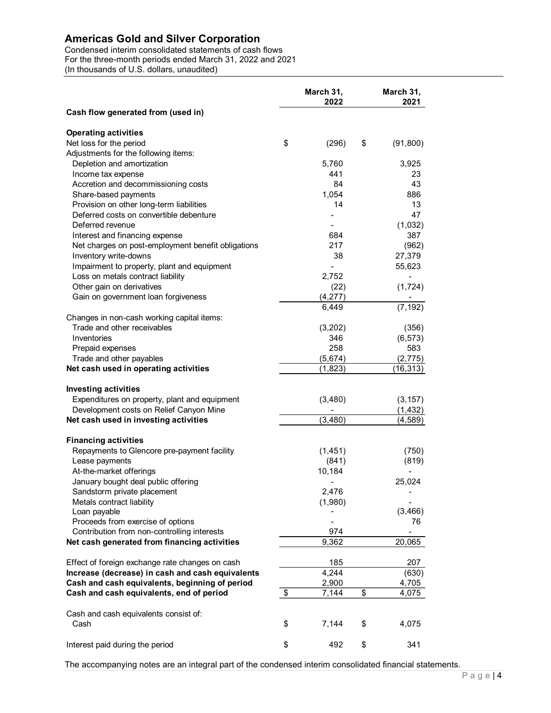| <b>Americas Gold and Silver Corporation</b>                                                                                                                                                                                    |                                  |                  |                            |
|--------------------------------------------------------------------------------------------------------------------------------------------------------------------------------------------------------------------------------|----------------------------------|------------------|----------------------------|
| Condensed interim consolidated statements of cash flows                                                                                                                                                                        |                                  |                  |                            |
| For the three-month periods ended March 31, 2022 and 2021<br>(In thousands of U.S. dollars, unaudited)                                                                                                                         |                                  |                  |                            |
|                                                                                                                                                                                                                                |                                  |                  |                            |
|                                                                                                                                                                                                                                |                                  | March 31,        | March 31,                  |
|                                                                                                                                                                                                                                |                                  | 2022             | 2021                       |
| Cash flow generated from (used in)                                                                                                                                                                                             |                                  |                  |                            |
| <b>Operating activities</b>                                                                                                                                                                                                    |                                  |                  |                            |
| Net loss for the period                                                                                                                                                                                                        | \$                               | (296)            | \$<br>(91, 800)            |
| Adjustments for the following items:                                                                                                                                                                                           |                                  |                  |                            |
| Depletion and amortization                                                                                                                                                                                                     |                                  | 5,760            | 3,925                      |
| Income tax expense                                                                                                                                                                                                             |                                  | 441              | 23                         |
| Accretion and decommissioning costs                                                                                                                                                                                            |                                  | 84               | 43                         |
| Share-based payments                                                                                                                                                                                                           |                                  | 1,054            | 886                        |
| Provision on other long-term liabilities<br>Deferred costs on convertible debenture                                                                                                                                            |                                  | 14               | 13<br>47                   |
| Deferred revenue                                                                                                                                                                                                               |                                  |                  | (1,032)                    |
| Interest and financing expense                                                                                                                                                                                                 |                                  | 684              | 387                        |
| Net charges on post-employment benefit obligations                                                                                                                                                                             |                                  | 217              | (962)                      |
| Inventory write-downs                                                                                                                                                                                                          |                                  | 38               | 27,379                     |
| Impairment to property, plant and equipment                                                                                                                                                                                    |                                  |                  | 55,623                     |
| Loss on metals contract liability                                                                                                                                                                                              |                                  | 2,752            |                            |
| Other gain on derivatives<br>Gain on government loan forgiveness                                                                                                                                                               |                                  | (22)<br>(4, 277) | (1, 724)<br>$\blacksquare$ |
|                                                                                                                                                                                                                                |                                  | 6,449            | (7, 192)                   |
| Changes in non-cash working capital items:                                                                                                                                                                                     |                                  |                  |                            |
| Trade and other receivables                                                                                                                                                                                                    |                                  | (3,202)          | (356)                      |
| Inventories                                                                                                                                                                                                                    |                                  | 346              | (6, 573)                   |
| Prepaid expenses                                                                                                                                                                                                               |                                  | 258              | 583                        |
| Trade and other payables                                                                                                                                                                                                       |                                  | (5,674)          | (2, 775)                   |
| Net cash used in operating activities                                                                                                                                                                                          |                                  | (1,823)          | (16, 313)                  |
|                                                                                                                                                                                                                                |                                  |                  |                            |
| <b>Investing activities</b><br>Expenditures on property, plant and equipment                                                                                                                                                   |                                  | (3,480)          | (3, 157)                   |
| Development costs on Relief Canyon Mine                                                                                                                                                                                        |                                  |                  | (1, 432)                   |
| Net cash used in investing activities                                                                                                                                                                                          |                                  | (3, 480)         | (4, 589)                   |
|                                                                                                                                                                                                                                |                                  |                  |                            |
| <b>Financing activities</b>                                                                                                                                                                                                    |                                  |                  |                            |
| Repayments to Glencore pre-payment facility                                                                                                                                                                                    |                                  | (1, 451)         | (750)                      |
| Lease payments                                                                                                                                                                                                                 |                                  | (841)<br>10,184  | (819)                      |
| At-the-market offerings<br>January bought deal public offering                                                                                                                                                                 |                                  |                  | 25,024                     |
| Sandstorm private placement                                                                                                                                                                                                    |                                  | 2,476            |                            |
| Metals contract liability                                                                                                                                                                                                      |                                  | (1,980)          |                            |
| Loan payable                                                                                                                                                                                                                   |                                  |                  | (3, 466)                   |
| Proceeds from exercise of options                                                                                                                                                                                              |                                  |                  | 76                         |
| Contribution from non-controlling interests                                                                                                                                                                                    |                                  | 974              |                            |
| Net cash generated from financing activities                                                                                                                                                                                   |                                  | 9,362            | 20,065                     |
| Effect of foreign exchange rate changes on cash                                                                                                                                                                                |                                  | 185              | 207                        |
| Increase (decrease) in cash and cash equivalents                                                                                                                                                                               |                                  | 4,244            | (630)                      |
| Cash and cash equivalents, beginning of period                                                                                                                                                                                 |                                  | 2,900            | 4,705                      |
|                                                                                                                                                                                                                                |                                  |                  |                            |
|                                                                                                                                                                                                                                |                                  |                  |                            |
| Cash                                                                                                                                                                                                                           |                                  | 7,144            | \$<br>4,075                |
|                                                                                                                                                                                                                                |                                  |                  |                            |
|                                                                                                                                                                                                                                | \$                               | 492              | \$<br>341                  |
| Cash and cash equivalents, end of period<br>Cash and cash equivalents consist of:<br>Interest paid during the period<br>The accompanying notes are an integral part of the condensed interim consolidated financial statements | $\boldsymbol{\mathsf{\$}}$<br>\$ | 7,144            | \$<br>4,075                |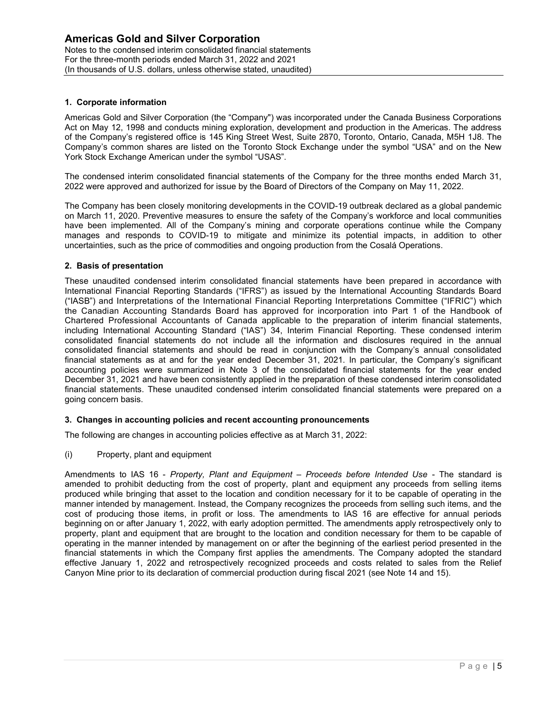## 1. Corporate information

Americas Gold and Silver Corporation (the "Company") was incorporated under the Canada Business Corporations Act on May 12, 1998 and conducts mining exploration, development and production in the Americas. The address of the Company's registered office is 145 King Street West, Suite 2870, Toronto, Ontario, Canada, M5H 1J8. The Company's common shares are listed on the Toronto Stock Exchange under the symbol "USA" and on the New York Stock Exchange American under the symbol "USAS".

The condensed interim consolidated financial statements of the Company for the three months ended March 31, 2022 were approved and authorized for issue by the Board of Directors of the Company on May 11, 2022.

The Company has been closely monitoring developments in the COVID-19 outbreak declared as a global pandemic on March 11, 2020. Preventive measures to ensure the safety of the Company's workforce and local communities have been implemented. All of the Company's mining and corporate operations continue while the Company manages and responds to COVID-19 to mitigate and minimize its potential impacts, in addition to other uncertainties, such as the price of commodities and ongoing production from the Cosalá Operations.

### 2. Basis of presentation

These unaudited condensed interim consolidated financial statements have been prepared in accordance with International Financial Reporting Standards ("IFRS") as issued by the International Accounting Standards Board ("IASB") and Interpretations of the International Financial Reporting Interpretations Committee ("IFRIC") which the Canadian Accounting Standards Board has approved for incorporation into Part 1 of the Handbook of Chartered Professional Accountants of Canada applicable to the preparation of interim financial statements, including International Accounting Standard ("IAS") 34, Interim Financial Reporting. These condensed interim consolidated financial statements do not include all the information and disclosures required in the annual consolidated financial statements and should be read in conjunction with the Company's annual consolidated financial statements as at and for the year ended December 31, 2021. In particular, the Company's significant accounting policies were summarized in Note 3 of the consolidated financial statements for the year ended December 31, 2021 and have been consistently applied in the preparation of these condensed interim consolidated financial statements. These unaudited condensed interim consolidated financial statements were prepared on a going concern basis.

### 3. Changes in accounting policies and recent accounting pronouncements

The following are changes in accounting policies effective as at March 31, 2022:

(i) Property, plant and equipment

Amendments to IAS 16 - Property, Plant and Equipment – Proceeds before Intended Use - The standard is amended to prohibit deducting from the cost of property, plant and equipment any proceeds from selling items produced while bringing that asset to the location and condition necessary for it to be capable of operating in the manner intended by management. Instead, the Company recognizes the proceeds from selling such items, and the cost of producing those items, in profit or loss. The amendments to IAS 16 are effective for annual periods beginning on or after January 1, 2022, with early adoption permitted. The amendments apply retrospectively only to property, plant and equipment that are brought to the location and condition necessary for them to be capable of operating in the manner intended by management on or after the beginning of the earliest period presented in the financial statements in which the Company first applies the amendments. The Company adopted the standard effective January 1, 2022 and retrospectively recognized proceeds and costs related to sales from the Relief Canyon Mine prior to its declaration of commercial production during fiscal 2021 (see Note 14 and 15).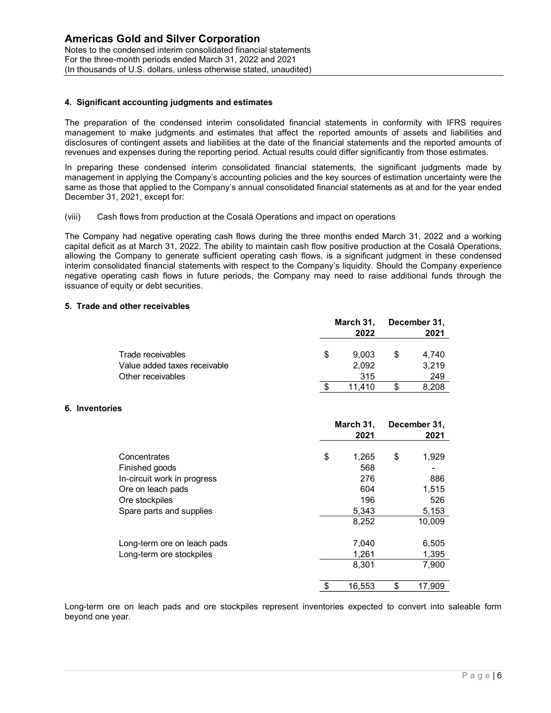## 4. Significant accounting judgments and estimates

The preparation of the condensed interim consolidated financial statements in conformity with IFRS requires management to make judgments and estimates that affect the reported amounts of assets and liabilities and disclosures of contingent assets and liabilities at the date of the financial statements and the reported amounts of revenues and expenses during the reporting period. Actual results could differ significantly from those estimates.

In preparing these condensed interim consolidated financial statements, the significant judgments made by management in applying the Company's accounting policies and the key sources of estimation uncertainty were the same as those that applied to the Company's annual consolidated financial statements as at and for the year ended December 31, 2021, except for:

### (viii) Cash flows from production at the Cosalá Operations and impact on operations

The Company had negative operating cash flows during the three months ended March 31, 2022 and a working capital deficit as at March 31, 2022. The ability to maintain cash flow positive production at the Cosalá Operations, allowing the Company to generate sufficient operating cash flows, is a significant judgment in these condensed interim consolidated financial statements with respect to the Company's liquidity. Should the Company experience negative operating cash flows in future periods, the Company may need to raise additional funds through the issuance of equity or debt securities. atements in conformity with IFRS requires<br>tred amounts of assets and liabilities and<br>ial statements and the reported amounts of<br>differ significantly from those estimates.<br>persist, the significant judgments made by<br>y source nts in conformity with IFRS requires<br>amounts of assets and liabilities and<br>atements and the reported amounts of<br>r significantly from those estimates.<br>the significant judgments made by<br>rces of estimation uncertainty were th olaristancements as at any for the year check<br>of on operations<br>a significant judgment in these condensed<br>a significant judgment in these condensed<br>s liquidity. Should the Company experience<br>need to raise additional funds t operations<br>
ended March 31, 2022 and a working<br>
e production at the Cosalá Operations,<br>
nificant judgment in these condensed<br>
to raise additional funds through the<br> **h 31, December 31,<br>
2022** 2021<br>
9,003 \$ 4,740<br>
3,219<br>
31

### 5. Trade and other receivables

|                                                                                                                                                                                                                                                                                                                                                                                                                                                                                                                                                 |     | March 31.         | December 31,         |  |
|-------------------------------------------------------------------------------------------------------------------------------------------------------------------------------------------------------------------------------------------------------------------------------------------------------------------------------------------------------------------------------------------------------------------------------------------------------------------------------------------------------------------------------------------------|-----|-------------------|----------------------|--|
| s                                                                                                                                                                                                                                                                                                                                                                                                                                                                                                                                               |     |                   |                      |  |
|                                                                                                                                                                                                                                                                                                                                                                                                                                                                                                                                                 | -\$ | 11,410            | \$<br>8,208          |  |
| Other receivables                                                                                                                                                                                                                                                                                                                                                                                                                                                                                                                               |     | 315               | 249                  |  |
| Value added taxes receivable                                                                                                                                                                                                                                                                                                                                                                                                                                                                                                                    |     | 2,092             | 3,219                |  |
| Trade receivables                                                                                                                                                                                                                                                                                                                                                                                                                                                                                                                               | \$  | 9,003             | \$<br>4,740          |  |
|                                                                                                                                                                                                                                                                                                                                                                                                                                                                                                                                                 |     | March 31,<br>2022 | December 31,<br>2021 |  |
| other receivables                                                                                                                                                                                                                                                                                                                                                                                                                                                                                                                               |     |                   |                      |  |
| had negative operating cash flows during the three months ended March 31, 2022 and a working<br>as at March 31, 2022. The ability to maintain cash flow positive production at the Cosalá Operations,<br>Company to generate sufficient operating cash flows, is a significant judgment in these condensed<br>idated financial statements with respect to the Company's liquidity. Should the Company experience<br>ating cash flows in future periods, the Company may need to raise additional funds through the<br>quity or debt securities. |     |                   |                      |  |
| flows from production at the Cosalá Operations and impact on operations                                                                                                                                                                                                                                                                                                                                                                                                                                                                         |     |                   |                      |  |
| these condensed interim consolidated financial statements, the significant judgments made by<br>in applying the Company's accounting policies and the key sources of estimation uncertainty were the<br>e that applied to the Company's annual consolidated financial statements as at and for the year ended<br>2021, except for:                                                                                                                                                                                                              |     |                   |                      |  |
| to make judgments and estimates that affect the reported amounts of assets and liabilities and<br>contingent assets and liabilities at the date of the financial statements and the reported amounts of<br>expenses during the reporting period. Actual results could differ significantly from those estimates.                                                                                                                                                                                                                                |     |                   |                      |  |

### 6. Inventories

| other receivables            |                   |                      |
|------------------------------|-------------------|----------------------|
|                              | March 31,<br>2022 | December 31,<br>2021 |
| Trade receivables            | \$<br>9,003       | \$<br>4,740          |
| Value added taxes receivable | 2,092             | 3,219                |
| Other receivables            | 315               | 249                  |
|                              | \$<br>11,410      | \$<br>8,208          |
|                              |                   |                      |
|                              | March 31,         | December 31,         |
|                              | 2021              | 2021                 |
| Concentrates                 | \$<br>1,265       | \$<br>1,929          |
| Finished goods               | 568               |                      |
| In-circuit work in progress  | 276               | 886                  |
| Ore on leach pads            | 604               | 1,515                |
| Ore stockpiles               | 196               | 526                  |
| Spare parts and supplies     | 5,343             | 5,153                |
|                              | 8,252             | 10,009               |
| Long-term ore on leach pads  | 7,040             | 6,505                |
| Long-term ore stockpiles     | 1,261             | 1,395                |
|                              | 8,301             | 7,900                |
|                              |                   |                      |

Long-term ore on leach pads and ore stockpiles represent inventories expected to convert into saleable form beyond one year.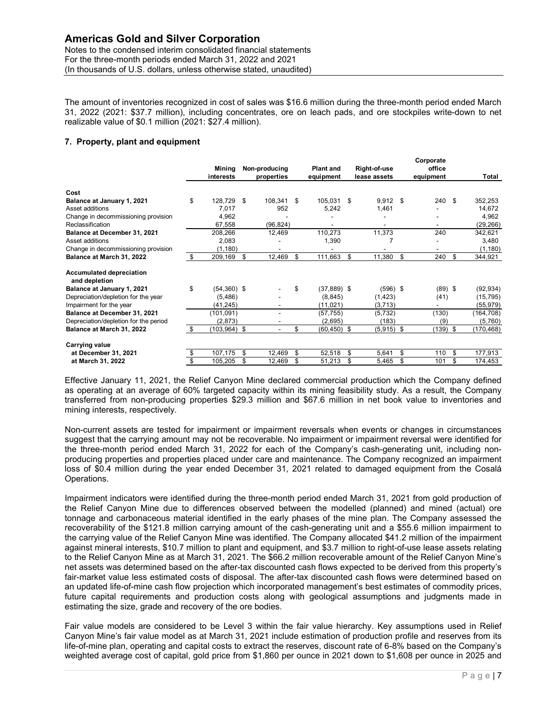## 7. Property, plant and equipment

| <b>Americas Gold and Silver Corporation</b><br>Notes to the condensed interim consolidated financial statements<br>For the three-month periods ended March 31, 2022 and 2021<br>(In thousands of U.S. dollars, unless otherwise stated, unaudited)<br>The amount of inventories recognized in cost of sales was \$16.6 million during the three-month period ended March<br>31, 2022 (2021: \$37.7 million), including concentrates, ore on leach pads, and ore stockpiles write-down to net |                       |                                    |      |                          |                              |                          |            |
|----------------------------------------------------------------------------------------------------------------------------------------------------------------------------------------------------------------------------------------------------------------------------------------------------------------------------------------------------------------------------------------------------------------------------------------------------------------------------------------------|-----------------------|------------------------------------|------|--------------------------|------------------------------|--------------------------|------------|
|                                                                                                                                                                                                                                                                                                                                                                                                                                                                                              |                       |                                    |      |                          |                              |                          |            |
|                                                                                                                                                                                                                                                                                                                                                                                                                                                                                              |                       |                                    |      |                          |                              |                          |            |
|                                                                                                                                                                                                                                                                                                                                                                                                                                                                                              |                       |                                    |      |                          |                              |                          |            |
|                                                                                                                                                                                                                                                                                                                                                                                                                                                                                              |                       |                                    |      |                          |                              |                          |            |
|                                                                                                                                                                                                                                                                                                                                                                                                                                                                                              |                       |                                    |      |                          |                              |                          |            |
|                                                                                                                                                                                                                                                                                                                                                                                                                                                                                              |                       |                                    |      |                          |                              |                          |            |
|                                                                                                                                                                                                                                                                                                                                                                                                                                                                                              |                       |                                    |      |                          |                              |                          |            |
|                                                                                                                                                                                                                                                                                                                                                                                                                                                                                              |                       |                                    |      |                          |                              |                          |            |
|                                                                                                                                                                                                                                                                                                                                                                                                                                                                                              |                       |                                    |      |                          |                              |                          |            |
|                                                                                                                                                                                                                                                                                                                                                                                                                                                                                              |                       |                                    |      |                          |                              |                          |            |
|                                                                                                                                                                                                                                                                                                                                                                                                                                                                                              |                       |                                    |      |                          |                              |                          |            |
|                                                                                                                                                                                                                                                                                                                                                                                                                                                                                              |                       |                                    |      |                          |                              |                          |            |
| realizable value of \$0.1 million (2021: \$27.4 million).                                                                                                                                                                                                                                                                                                                                                                                                                                    |                       |                                    |      |                          |                              |                          |            |
|                                                                                                                                                                                                                                                                                                                                                                                                                                                                                              |                       |                                    |      |                          |                              |                          |            |
| 7. Property, plant and equipment                                                                                                                                                                                                                                                                                                                                                                                                                                                             |                       |                                    |      |                          |                              |                          |            |
|                                                                                                                                                                                                                                                                                                                                                                                                                                                                                              |                       |                                    |      |                          |                              |                          |            |
|                                                                                                                                                                                                                                                                                                                                                                                                                                                                                              |                       |                                    |      |                          |                              |                          |            |
|                                                                                                                                                                                                                                                                                                                                                                                                                                                                                              |                       |                                    |      |                          |                              | Corporate<br>office      |            |
|                                                                                                                                                                                                                                                                                                                                                                                                                                                                                              | interests             | Mining Non-producing<br>properties |      | <b>Plant and</b>         | Right-of-use<br>lease assets |                          | Total      |
|                                                                                                                                                                                                                                                                                                                                                                                                                                                                                              |                       |                                    |      | equipment                |                              | equipment                |            |
| Cost                                                                                                                                                                                                                                                                                                                                                                                                                                                                                         |                       |                                    |      |                          |                              |                          |            |
| Balance at January 1, 2021                                                                                                                                                                                                                                                                                                                                                                                                                                                                   | \$<br>128,729 \$      | 108,341 \$                         |      | 105,031 \$               | $9,912$ \$                   | 240<br>- \$              | 352,253    |
| Asset additions                                                                                                                                                                                                                                                                                                                                                                                                                                                                              | 7,017                 | 952                                |      | 5,242                    | 1,461                        |                          | 14,672     |
| Change in decommissioning provision                                                                                                                                                                                                                                                                                                                                                                                                                                                          | 4,962                 |                                    |      | $\overline{\phantom{a}}$ | $\overline{\phantom{a}}$     | $\sim$                   | 4,962      |
|                                                                                                                                                                                                                                                                                                                                                                                                                                                                                              |                       | (96, 824)                          |      | $\sim$                   | $\sim$                       |                          | (29, 266)  |
|                                                                                                                                                                                                                                                                                                                                                                                                                                                                                              |                       |                                    |      |                          |                              |                          |            |
| Reclassification                                                                                                                                                                                                                                                                                                                                                                                                                                                                             | 67,558                |                                    |      |                          |                              |                          |            |
| Balance at December 31, 2021                                                                                                                                                                                                                                                                                                                                                                                                                                                                 | 208,266               | 12,469                             |      | 110,273                  | 11,373                       | 240                      | 342,621    |
| Asset additions                                                                                                                                                                                                                                                                                                                                                                                                                                                                              | 2,083                 | $\blacksquare$                     |      | 1,390                    | $\overline{7}$               | $\sim$                   | 3,480      |
| Change in decommissioning provision                                                                                                                                                                                                                                                                                                                                                                                                                                                          | (1, 180)              | $\overline{\phantom{a}}$           |      | $\sim$                   | $\sim$                       | $\overline{\phantom{a}}$ | (1, 180)   |
| Balance at March 31, 2022                                                                                                                                                                                                                                                                                                                                                                                                                                                                    | \$<br>209,169 \$      | 12,469 \$                          |      | 111,663 \$               | 11,380 \$                    | 240 \$                   | 344,921    |
|                                                                                                                                                                                                                                                                                                                                                                                                                                                                                              |                       |                                    |      |                          |                              |                          |            |
| <b>Accumulated depreciation</b>                                                                                                                                                                                                                                                                                                                                                                                                                                                              |                       |                                    |      |                          |                              |                          |            |
| and depletion                                                                                                                                                                                                                                                                                                                                                                                                                                                                                |                       |                                    |      |                          |                              |                          |            |
| Balance at January 1, 2021                                                                                                                                                                                                                                                                                                                                                                                                                                                                   | \$<br>$(54,360)$ \$   |                                    | - \$ | $(37,889)$ \$            | $(596)$ \$                   | $(89)$ \$                | (92, 934)  |
| Depreciation/depletion for the year                                                                                                                                                                                                                                                                                                                                                                                                                                                          | (5, 486)              |                                    |      | (8, 845)                 | (1, 423)                     | (41)                     | (15, 795)  |
| Impairment for the year                                                                                                                                                                                                                                                                                                                                                                                                                                                                      | (41, 245)             | $\overline{\phantom{a}}$           |      | (11, 021)                | (3,713)                      |                          | (55, 979)  |
| Balance at December 31, 2021                                                                                                                                                                                                                                                                                                                                                                                                                                                                 | (101, 091)            | $\overline{\phantom{a}}$           |      | (57, 755)                | (5, 732)                     | (130)                    | (164, 708) |
| Depreciation/depletion for the period                                                                                                                                                                                                                                                                                                                                                                                                                                                        | (2,873)               |                                    |      | (2,695)                  | (183)                        | (9)                      | (5,760)    |
| Balance at March 31, 2022                                                                                                                                                                                                                                                                                                                                                                                                                                                                    | \$<br>$(103, 964)$ \$ | $\sim$                             | \$   | $(60, 450)$ \$           | $(5,915)$ \$                 | $(139)$ \$               | (170, 468) |
|                                                                                                                                                                                                                                                                                                                                                                                                                                                                                              |                       |                                    |      |                          |                              |                          |            |
| Carrying value                                                                                                                                                                                                                                                                                                                                                                                                                                                                               |                       |                                    |      |                          |                              |                          |            |
| at December 31, 2021                                                                                                                                                                                                                                                                                                                                                                                                                                                                         | \$<br>107,175 \$      | 12,469 \$                          |      | 52,518 \$                | $5,641$ \$                   | 110 \$                   | 177,913    |

Effective January 11, 2021, the Relief Canyon Mine declared commercial production which the Company defined as operating at an average of 60% targeted capacity within its mining feasibility study. As a result, the Company transferred from non-producing properties \$29.3 million and \$67.6 million in net book value to inventories and mining interests, respectively.

Non-current assets are tested for impairment or impairment reversals when events or changes in circumstances suggest that the carrying amount may not be recoverable. No impairment or impairment reversal were identified for the three-month period ended March 31, 2022 for each of the Company's cash-generating unit, including nonproducing properties and properties placed under care and maintenance. The Company recognized an impairment loss of \$0.4 million during the year ended December 31, 2021 related to damaged equipment from the Cosalá Operations.

Impairment indicators were identified during the three-month period ended March 31, 2021 from gold production of the Relief Canyon Mine due to differences observed between the modelled (planned) and mined (actual) ore tonnage and carbonaceous material identified in the early phases of the mine plan. The Company assessed the recoverability of the \$121.8 million carrying amount of the cash-generating unit and a \$55.6 million impairment to the carrying value of the Relief Canyon Mine was identified. The Company allocated \$41.2 million of the impairment against mineral interests, \$10.7 million to plant and equipment, and \$3.7 million to right-of-use lease assets relating to the Relief Canyon Mine as at March 31, 2021. The \$66.2 million recoverable amount of the Relief Canyon Mine's net assets was determined based on the after-tax discounted cash flows expected to be derived from this property's fair-market value less estimated costs of disposal. The after-tax discounted cash flows were determined based on an updated life-of-mine cash flow projection which incorporated management's best estimates of commodity prices, future capital requirements and production costs along with geological assumptions and judgments made in estimating the size, grade and recovery of the ore bodies.

Fair value models are considered to be Level 3 within the fair value hierarchy. Key assumptions used in Relief Canyon Mine's fair value model as at March 31, 2021 include estimation of production profile and reserves from its life-of-mine plan, operating and capital costs to extract the reserves, discount rate of 6-8% based on the Company's weighted average cost of capital, gold price from \$1,860 per ounce in 2021 down to \$1,608 per ounce in 2025 and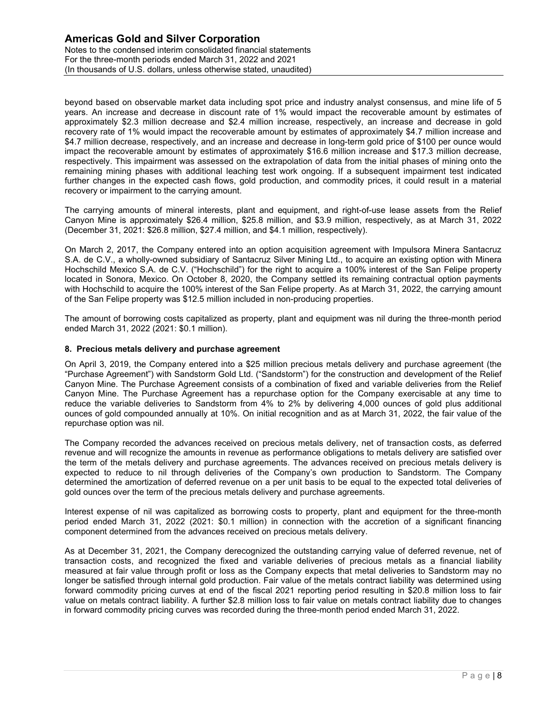beyond based on observable market data including spot price and industry analyst consensus, and mine life of 5 years. An increase and decrease in discount rate of 1% would impact the recoverable amount by estimates of approximately \$2.3 million decrease and \$2.4 million increase, respectively, an increase and decrease in gold recovery rate of 1% would impact the recoverable amount by estimates of approximately \$4.7 million increase and \$4.7 million decrease, respectively, and an increase and decrease in long-term gold price of \$100 per ounce would impact the recoverable amount by estimates of approximately \$16.6 million increase and \$17.3 million decrease, respectively. This impairment was assessed on the extrapolation of data from the initial phases of mining onto the remaining mining phases with additional leaching test work ongoing. If a subsequent impairment test indicated further changes in the expected cash flows, gold production, and commodity prices, it could result in a material recovery or impairment to the carrying amount.

The carrying amounts of mineral interests, plant and equipment, and right-of-use lease assets from the Relief Canyon Mine is approximately \$26.4 million, \$25.8 million, and \$3.9 million, respectively, as at March 31, 2022 (December 31, 2021: \$26.8 million, \$27.4 million, and \$4.1 million, respectively).

On March 2, 2017, the Company entered into an option acquisition agreement with Impulsora Minera Santacruz S.A. de C.V., a wholly-owned subsidiary of Santacruz Silver Mining Ltd., to acquire an existing option with Minera Hochschild Mexico S.A. de C.V. ("Hochschild") for the right to acquire a 100% interest of the San Felipe property located in Sonora, Mexico. On October 8, 2020, the Company settled its remaining contractual option payments with Hochschild to acquire the 100% interest of the San Felipe property. As at March 31, 2022, the carrying amount of the San Felipe property was \$12.5 million included in non-producing properties.

The amount of borrowing costs capitalized as property, plant and equipment was nil during the three-month period ended March 31, 2022 (2021: \$0.1 million).

## 8. Precious metals delivery and purchase agreement

On April 3, 2019, the Company entered into a \$25 million precious metals delivery and purchase agreement (the "Purchase Agreement") with Sandstorm Gold Ltd. ("Sandstorm") for the construction and development of the Relief Canyon Mine. The Purchase Agreement consists of a combination of fixed and variable deliveries from the Relief Canyon Mine. The Purchase Agreement has a repurchase option for the Company exercisable at any time to reduce the variable deliveries to Sandstorm from 4% to 2% by delivering 4,000 ounces of gold plus additional ounces of gold compounded annually at 10%. On initial recognition and as at March 31, 2022, the fair value of the repurchase option was nil.

The Company recorded the advances received on precious metals delivery, net of transaction costs, as deferred revenue and will recognize the amounts in revenue as performance obligations to metals delivery are satisfied over the term of the metals delivery and purchase agreements. The advances received on precious metals delivery is expected to reduce to nil through deliveries of the Company's own production to Sandstorm. The Company determined the amortization of deferred revenue on a per unit basis to be equal to the expected total deliveries of gold ounces over the term of the precious metals delivery and purchase agreements.

Interest expense of nil was capitalized as borrowing costs to property, plant and equipment for the three-month period ended March 31, 2022 (2021: \$0.1 million) in connection with the accretion of a significant financing component determined from the advances received on precious metals delivery.

As at December 31, 2021, the Company derecognized the outstanding carrying value of deferred revenue, net of transaction costs, and recognized the fixed and variable deliveries of precious metals as a financial liability measured at fair value through profit or loss as the Company expects that metal deliveries to Sandstorm may no longer be satisfied through internal gold production. Fair value of the metals contract liability was determined using forward commodity pricing curves at end of the fiscal 2021 reporting period resulting in \$20.8 million loss to fair value on metals contract liability. A further \$2.8 million loss to fair value on metals contract liability due to changes in forward commodity pricing curves was recorded during the three-month period ended March 31, 2022.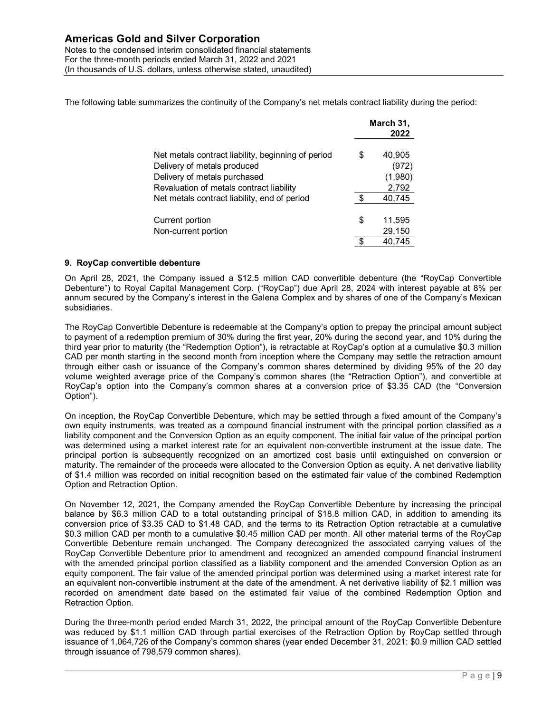The following table summarizes the continuity of the Company's net metals contract liability during the period:

| nd Silver Corporation                                                                     |                       |  |
|-------------------------------------------------------------------------------------------|-----------------------|--|
|                                                                                           |                       |  |
|                                                                                           |                       |  |
|                                                                                           |                       |  |
| d interim consolidated financial statements                                               |                       |  |
| riods ended March 31, 2022 and 2021                                                       |                       |  |
| ollars, unless otherwise stated, unaudited)                                               |                       |  |
|                                                                                           |                       |  |
| imarizes the continuity of the Company's net metals contract liability during the period: |                       |  |
|                                                                                           |                       |  |
|                                                                                           | March 31,             |  |
|                                                                                           |                       |  |
|                                                                                           | 2022                  |  |
|                                                                                           |                       |  |
| Net metals contract liability, beginning of period<br>Delivery of metals produced         | \$<br>40,905<br>(972) |  |
| Delivery of metals purchased                                                              | (1,980)               |  |
| Revaluation of metals contract liability                                                  | 2,792                 |  |
| Net metals contract liability, end of period                                              | \$<br>40,745          |  |
|                                                                                           |                       |  |
| Current portion                                                                           | \$<br>11,595          |  |
| Non-current portion                                                                       | 29,150                |  |
|                                                                                           | \$<br>40,745          |  |

## 9. RoyCap convertible debenture

On April 28, 2021, the Company issued a \$12.5 million CAD convertible debenture (the "RoyCap Convertible Debenture") to Royal Capital Management Corp. ("RoyCap") due April 28, 2024 with interest payable at 8% per annum secured by the Company's interest in the Galena Complex and by shares of one of the Company's Mexican subsidiaries.

The RoyCap Convertible Debenture is redeemable at the Company's option to prepay the principal amount subject to payment of a redemption premium of 30% during the first year, 20% during the second year, and 10% during the third year prior to maturity (the "Redemption Option"), is retractable at RoyCap's option at a cumulative \$0.3 million CAD per month starting in the second month from inception where the Company may settle the retraction amount through either cash or issuance of the Company's common shares determined by dividing 95% of the 20 day volume weighted average price of the Company's common shares (the "Retraction Option"), and convertible at RoyCap's option into the Company's common shares at a conversion price of \$3.35 CAD (the "Conversion Option").

On inception, the RoyCap Convertible Debenture, which may be settled through a fixed amount of the Company's own equity instruments, was treated as a compound financial instrument with the principal portion classified as a liability component and the Conversion Option as an equity component. The initial fair value of the principal portion was determined using a market interest rate for an equivalent non-convertible instrument at the issue date. The principal portion is subsequently recognized on an amortized cost basis until extinguished on conversion or maturity. The remainder of the proceeds were allocated to the Conversion Option as equity. A net derivative liability of \$1.4 million was recorded on initial recognition based on the estimated fair value of the combined Redemption Option and Retraction Option.

On November 12, 2021, the Company amended the RoyCap Convertible Debenture by increasing the principal balance by \$6.3 million CAD to a total outstanding principal of \$18.8 million CAD, in addition to amending its conversion price of \$3.35 CAD to \$1.48 CAD, and the terms to its Retraction Option retractable at a cumulative \$0.3 million CAD per month to a cumulative \$0.45 million CAD per month. All other material terms of the RoyCap Convertible Debenture remain unchanged. The Company derecognized the associated carrying values of the RoyCap Convertible Debenture prior to amendment and recognized an amended compound financial instrument with the amended principal portion classified as a liability component and the amended Conversion Option as an equity component. The fair value of the amended principal portion was determined using a market interest rate for an equivalent non-convertible instrument at the date of the amendment. A net derivative liability of \$2.1 million was recorded on amendment date based on the estimated fair value of the combined Redemption Option and Retraction Option.

During the three-month period ended March 31, 2022, the principal amount of the RoyCap Convertible Debenture was reduced by \$1.1 million CAD through partial exercises of the Retraction Option by RoyCap settled through issuance of 1,064,726 of the Company's common shares (year ended December 31, 2021: \$0.9 million CAD settled through issuance of 798,579 common shares).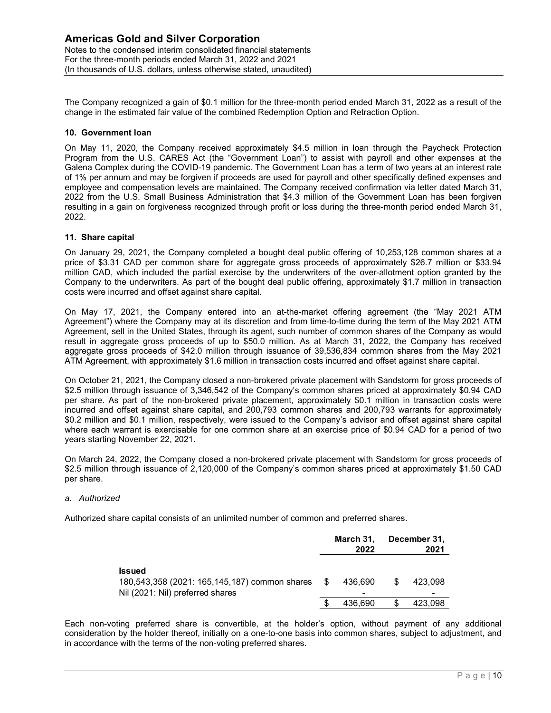The Company recognized a gain of \$0.1 million for the three-month period ended March 31, 2022 as a result of the change in the estimated fair value of the combined Redemption Option and Retraction Option.

## 10. Government loan

On May 11, 2020, the Company received approximately \$4.5 million in loan through the Paycheck Protection Program from the U.S. CARES Act (the "Government Loan") to assist with payroll and other expenses at the Galena Complex during the COVID-19 pandemic. The Government Loan has a term of two years at an interest rate of 1% per annum and may be forgiven if proceeds are used for payroll and other specifically defined expenses and employee and compensation levels are maintained. The Company received confirmation via letter dated March 31, 2022 from the U.S. Small Business Administration that \$4.3 million of the Government Loan has been forgiven resulting in a gain on forgiveness recognized through profit or loss during the three-month period ended March 31, 2022.

## 11. Share capital

On January 29, 2021, the Company completed a bought deal public offering of 10,253,128 common shares at a price of \$3.31 CAD per common share for aggregate gross proceeds of approximately \$26.7 million or \$33.94 million CAD, which included the partial exercise by the underwriters of the over-allotment option granted by the Company to the underwriters. As part of the bought deal public offering, approximately \$1.7 million in transaction costs were incurred and offset against share capital.

On May 17, 2021, the Company entered into an at-the-market offering agreement (the "May 2021 ATM Agreement") where the Company may at its discretion and from time-to-time during the term of the May 2021 ATM Agreement, sell in the United States, through its agent, such number of common shares of the Company as would result in aggregate gross proceeds of up to \$50.0 million. As at March 31, 2022, the Company has received aggregate gross proceeds of \$42.0 million through issuance of 39,536,834 common shares from the May 2021 ATM Agreement, with approximately \$1.6 million in transaction costs incurred and offset against share capital.

On October 21, 2021, the Company closed a non-brokered private placement with Sandstorm for gross proceeds of \$2.5 million through issuance of 3,346,542 of the Company's common shares priced at approximately \$0.94 CAD per share. As part of the non-brokered private placement, approximately \$0.1 million in transaction costs were incurred and offset against share capital, and 200,793 common shares and 200,793 warrants for approximately \$0.2 million and \$0.1 million, respectively, were issued to the Company's advisor and offset against share capital where each warrant is exercisable for one common share at an exercise price of \$0.94 CAD for a period of two years starting November 22, 2021. offering agreement (the "May 2021 ATM<br>
-time during the term of the May 2021 ATM<br>
-time during the term of the May 2021 ATM<br>
f common shares of the Company has revolved<br>
6,834 common shares from the May 2021<br>
urred and of by submanic (and the May 2021 ATM<br>during the term of the May 2021 ATM<br>mon shares of the Company has received<br>11, 2022, the Company has received<br>12 common shares from the May 2021<br>al and offset against share capital.<br>t wit sig proceeds of \$42.0 million through issuance of 39,536,834 common shares from the May 2021<br>
Int, with approximately \$1.6 million in transaction costs incurred and offset against share capital.<br>
1, 2021: the Company dosed nt, with approximately \$1.6 million in transaction costs incurred and offset against share capital.<br>
2021; the Company closed a non-brokered private placement with Sandstorm for gross proceeds of<br>
road) hissuance of 3,346,

On March 24, 2022, the Company closed a non-brokered private placement with Sandstorm for gross proceeds of \$2.5 million through issuance of 2,120,000 of the Company's common shares priced at approximately \$1.50 CAD per share.

### a. Authorized

Authorized share capital consists of an unlimited number of common and preferred shares.

|                                                                                                       | March 31,<br>2022 |   | December 31,<br>2021 |
|-------------------------------------------------------------------------------------------------------|-------------------|---|----------------------|
| <b>Issued</b><br>180,543,358 (2021: 165,145,187) common shares \$<br>Nil (2021: Nil) preferred shares | 436.690<br>-      | S | 423.098              |
|                                                                                                       | 436.690           |   | 423.098              |

Each non-voting preferred share is convertible, at the holder's option, without payment of any additional consideration by the holder thereof, initially on a one-to-one basis into common shares, subject to adjustment, and in accordance with the terms of the non-voting preferred shares.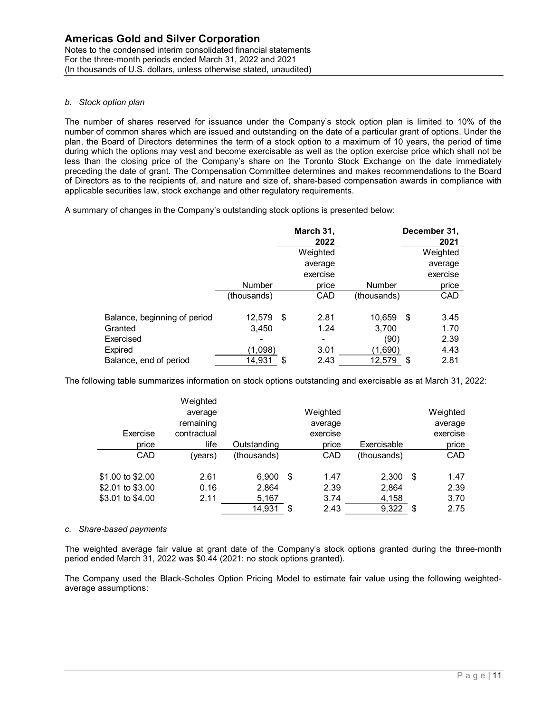Notes to the condensed interim consolidated financial statements For the three-month periods ended March 31, 2022 and 2021 (In thousands of U.S. dollars, unless otherwise stated, unaudited)

## b. Stock option plan

The number of shares reserved for issuance under the Company's stock option plan is limited to 10% of the number of common shares which are issued and outstanding on the date of a particular grant of options. Under the plan, the Board of Directors determines the term of a stock option to a maximum of 10 years, the period of time during which the options may vest and become exercisable as well as the option exercise price which shall not be less than the closing price of the Company's share on the Toronto Stock Exchange on the date immediately preceding the date of grant. The Compensation Committee determines and makes recommendations to the Board of Directors as to the recipients of, and nature and size of, share-based compensation awards in compliance with applicable securities law, stock exchange and other regulatory requirements. ents<br>
ents<br>
ited)<br>
ited)<br>
ited (a)<br>
om the date of a particular grant of options. Under the<br>
option to a maximum of 10 years, the period of time<br>
as well as the option exercise price which shall not be<br>
as well as the opti my's stock option plan is limited to 10% of the<br>
e date of a particular grant of options. Under the<br>
n to a maximum of 10 years, the period of time<br>
ell as the option exercise price which shall not be<br>
ell as the option ex my any's stock option plan is limited to 10% of the<br>on the date of a particular grant of options. Under the<br>option to a maximum of 10 years, the period of time<br>s well as the option exercise price which shall not be<br>termine ts<br>
and<br>
by the mate of a particular grant of options. Under the<br>
the date of a particular grant of options. Under the<br>
twell as the option exercise price which shall not be<br>
evell as the option exercise price which shall

A summary of changes in the Company's outstanding stock options is presented below:

| as Gold and Silver Corporation<br>the condensed interim consolidated financial statements                                                                                                                                                                                                                                                                                                                                                                                                                                                                                                                                                                                                                                                                                                                                       |                                                 |             |                                 |               |                                 |  |
|---------------------------------------------------------------------------------------------------------------------------------------------------------------------------------------------------------------------------------------------------------------------------------------------------------------------------------------------------------------------------------------------------------------------------------------------------------------------------------------------------------------------------------------------------------------------------------------------------------------------------------------------------------------------------------------------------------------------------------------------------------------------------------------------------------------------------------|-------------------------------------------------|-------------|---------------------------------|---------------|---------------------------------|--|
| rree-month periods ended March 31, 2022 and 2021                                                                                                                                                                                                                                                                                                                                                                                                                                                                                                                                                                                                                                                                                                                                                                                |                                                 |             |                                 |               |                                 |  |
| ands of U.S. dollars, unless otherwise stated, unaudited)                                                                                                                                                                                                                                                                                                                                                                                                                                                                                                                                                                                                                                                                                                                                                                       |                                                 |             |                                 |               |                                 |  |
| option plan                                                                                                                                                                                                                                                                                                                                                                                                                                                                                                                                                                                                                                                                                                                                                                                                                     |                                                 |             |                                 |               |                                 |  |
| ber of shares reserved for issuance under the Company's stock option plan is limited to 10% of the<br>of common shares which are issued and outstanding on the date of a particular grant of options. Under the<br>Board of Directors determines the term of a stock option to a maximum of 10 years, the period of time<br>nich the options may vest and become exercisable as well as the option exercise price which shall not be<br>I the closing price of the Company's share on the Toronto Stock Exchange on the date immediately<br>g the date of grant. The Compensation Committee determines and makes recommendations to the Board<br>ors as to the recipients of, and nature and size of, share-based compensation awards in compliance with<br>e securities law, stock exchange and other regulatory requirements. |                                                 |             |                                 |               |                                 |  |
| ary of changes in the Company's outstanding stock options is presented below:                                                                                                                                                                                                                                                                                                                                                                                                                                                                                                                                                                                                                                                                                                                                                   |                                                 |             | March 31,                       |               | December 31,                    |  |
|                                                                                                                                                                                                                                                                                                                                                                                                                                                                                                                                                                                                                                                                                                                                                                                                                                 |                                                 |             | 2022                            |               | 2021                            |  |
|                                                                                                                                                                                                                                                                                                                                                                                                                                                                                                                                                                                                                                                                                                                                                                                                                                 |                                                 |             | Weighted                        |               | Weighted                        |  |
|                                                                                                                                                                                                                                                                                                                                                                                                                                                                                                                                                                                                                                                                                                                                                                                                                                 |                                                 |             | average                         |               | average                         |  |
|                                                                                                                                                                                                                                                                                                                                                                                                                                                                                                                                                                                                                                                                                                                                                                                                                                 |                                                 |             | exercise                        |               | exercise                        |  |
|                                                                                                                                                                                                                                                                                                                                                                                                                                                                                                                                                                                                                                                                                                                                                                                                                                 |                                                 | Number      | price                           | <b>Number</b> | price                           |  |
|                                                                                                                                                                                                                                                                                                                                                                                                                                                                                                                                                                                                                                                                                                                                                                                                                                 |                                                 | (thousands) | CAD                             | (thousands)   | CAD                             |  |
| Balance, beginning of period                                                                                                                                                                                                                                                                                                                                                                                                                                                                                                                                                                                                                                                                                                                                                                                                    |                                                 | 12,579 \$   | 2.81                            | 10,659 \$     | 3.45                            |  |
| Granted                                                                                                                                                                                                                                                                                                                                                                                                                                                                                                                                                                                                                                                                                                                                                                                                                         |                                                 | 3,450       | 1.24                            | 3,700         | 1.70                            |  |
| Exercised                                                                                                                                                                                                                                                                                                                                                                                                                                                                                                                                                                                                                                                                                                                                                                                                                       |                                                 |             |                                 | (90)          | 2.39                            |  |
| Expired                                                                                                                                                                                                                                                                                                                                                                                                                                                                                                                                                                                                                                                                                                                                                                                                                         |                                                 | (1,098)     | 3.01                            | (1,690)       | 4.43                            |  |
| Balance, end of period                                                                                                                                                                                                                                                                                                                                                                                                                                                                                                                                                                                                                                                                                                                                                                                                          |                                                 | 14,931 \$   | 2.43                            | 12,579 \$     | 2.81                            |  |
| ving table summarizes information on stock options outstanding and exercisable as at March 31, 2022:<br>Exercise                                                                                                                                                                                                                                                                                                                                                                                                                                                                                                                                                                                                                                                                                                                | Weighted<br>average<br>remaining<br>contractual |             | Weighted<br>average<br>exercise |               | Weighted<br>average<br>exercise |  |
| price                                                                                                                                                                                                                                                                                                                                                                                                                                                                                                                                                                                                                                                                                                                                                                                                                           | life                                            | Outstanding | price                           | Exercisable   | price                           |  |
| CAD                                                                                                                                                                                                                                                                                                                                                                                                                                                                                                                                                                                                                                                                                                                                                                                                                             | (years)                                         | (thousands) | CAD                             | (thousands)   | CAD                             |  |
| \$1.00 to \$2.00                                                                                                                                                                                                                                                                                                                                                                                                                                                                                                                                                                                                                                                                                                                                                                                                                | 2.61                                            | $6,900$ \$  | 1.47                            | $2,300$ \$    | 1.47                            |  |
| \$2.01 to \$3.00                                                                                                                                                                                                                                                                                                                                                                                                                                                                                                                                                                                                                                                                                                                                                                                                                | 0.16                                            | 2,864       | 2.39                            | 2,864         | 2.39                            |  |
| \$3.01 to \$4.00                                                                                                                                                                                                                                                                                                                                                                                                                                                                                                                                                                                                                                                                                                                                                                                                                | 2.11                                            | 5,167       | 3.74                            | 4,158         | 3.70                            |  |
|                                                                                                                                                                                                                                                                                                                                                                                                                                                                                                                                                                                                                                                                                                                                                                                                                                 |                                                 | 14,931 \$   | 2.43                            | $9,322$ \$    | 2.75                            |  |
|                                                                                                                                                                                                                                                                                                                                                                                                                                                                                                                                                                                                                                                                                                                                                                                                                                 |                                                 |             |                                 |               |                                 |  |
| e-based payments                                                                                                                                                                                                                                                                                                                                                                                                                                                                                                                                                                                                                                                                                                                                                                                                                |                                                 |             |                                 |               |                                 |  |

The following table summarizes information on stock options outstanding and exercisable as at March 31, 2022:

|                                                                                                       |                      |                 | <u>vveigntea</u>    |                | <u>vveignted</u>    |
|-------------------------------------------------------------------------------------------------------|----------------------|-----------------|---------------------|----------------|---------------------|
|                                                                                                       |                      |                 | average             |                | average             |
|                                                                                                       |                      |                 | exercise            |                | exercise            |
|                                                                                                       |                      | Number          | price               | Number         | price               |
|                                                                                                       |                      | (thousands)     | CAD                 | (thousands)    | CAD                 |
| Balance, beginning of period                                                                          |                      | 12,579 \$       | 2.81                | 10,659 \$      | 3.45                |
| Granted                                                                                               |                      | 3,450           | 1.24                | 3,700          | 1.70                |
| Exercised                                                                                             |                      |                 |                     | (90)           | 2.39                |
| Expired                                                                                               |                      | (1,098)         | 3.01                | (1,690)        | 4.43                |
| Balance, end of period                                                                                |                      | 14,931 \$       | 2.43                | 12,579 \$      | 2.81                |
|                                                                                                       | Weighted             |                 |                     |                |                     |
| owing table summarizes information on stock options outstanding and exercisable as at March 31, 2022: | average<br>remaining |                 | Weighted<br>average |                | Weighted<br>average |
| Exercise                                                                                              | contractual          |                 | exercise            |                | exercise            |
| price                                                                                                 | life                 | Outstanding     | price               | Exercisable    | price               |
| CAD                                                                                                   | (years)              | (thousands)     | CAD                 | (thousands)    | CAD                 |
|                                                                                                       | 2.61                 | $6,900$ \$      | 1.47                | 2,300          | \$<br>1.47          |
|                                                                                                       | 0.16                 | 2,864           | 2.39                | 2,864          | 2.39                |
| \$1.00 to \$2.00<br>\$2.01 to \$3.00<br>\$3.01 to \$4.00                                              | 2.11                 | 5,167<br>14,931 | 3.74<br>2.43        | 4,158<br>9,322 | 3.70<br>2.75        |

### c. Share-based payments

The weighted average fair value at grant date of the Company's stock options granted during the three-month period ended March 31, 2022 was \$0.44 (2021: no stock options granted).

The Company used the Black-Scholes Option Pricing Model to estimate fair value using the following weightedaverage assumptions: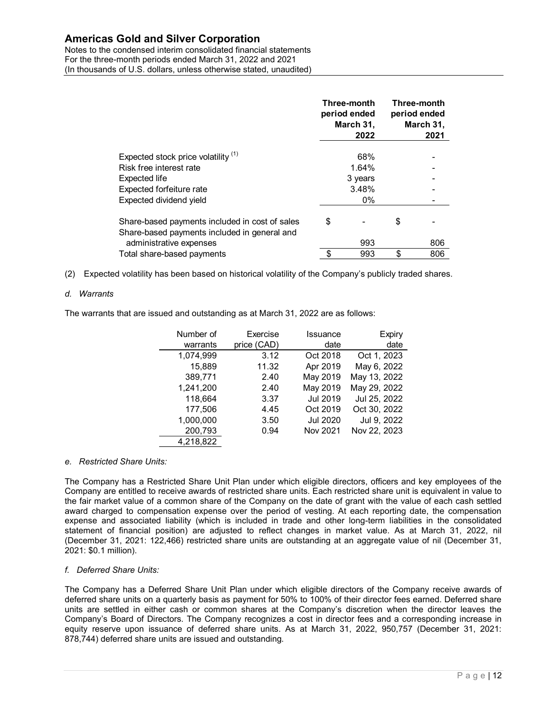Notes to the condensed interim consolidated financial statements For the three-month periods ended March 31, 2022 and 2021 (In thousands of U.S. dollars, unless otherwise stated, unaudited)

|                      | <b>Gold and Silver Corporation</b>                  | ondensed interim consolidated financial statements                                                                                                                                               |                  |                                                  |                       |                                                  |
|----------------------|-----------------------------------------------------|--------------------------------------------------------------------------------------------------------------------------------------------------------------------------------------------------|------------------|--------------------------------------------------|-----------------------|--------------------------------------------------|
|                      |                                                     | month periods ended March 31, 2022 and 2021<br>of U.S. dollars, unless otherwise stated, unaudited)                                                                                              |                  | Three-month<br>period ended<br>March 31,<br>2022 |                       | Three-month<br>period ended<br>March 31,<br>2021 |
|                      |                                                     |                                                                                                                                                                                                  |                  |                                                  |                       |                                                  |
|                      | Expected stock price volatility (1)                 |                                                                                                                                                                                                  |                  | 68%                                              |                       |                                                  |
|                      | Risk free interest rate                             |                                                                                                                                                                                                  |                  | 1.64%                                            |                       |                                                  |
| <b>Expected life</b> |                                                     |                                                                                                                                                                                                  |                  | 3 years                                          |                       |                                                  |
|                      | Expected forfeiture rate<br>Expected dividend yield |                                                                                                                                                                                                  |                  | 3.48%<br>0%                                      |                       |                                                  |
|                      |                                                     | Share-based payments included in cost of sales<br>Share-based payments included in general and                                                                                                   | \$               |                                                  | \$                    |                                                  |
|                      | administrative expenses                             |                                                                                                                                                                                                  |                  | 993                                              |                       | 806                                              |
|                      | Total share-based payments                          |                                                                                                                                                                                                  | \$               | 993                                              | \$                    | 806                                              |
|                      | Number of<br>warrants                               | d volatility has been based on historical volatility of the Company's publicly traded shares.<br>that are issued and outstanding as at March 31, 2022 are as follows:<br>Exercise<br>price (CAD) | Issuance<br>date |                                                  | <b>Expiry</b><br>date |                                                  |
|                      |                                                     |                                                                                                                                                                                                  |                  |                                                  |                       |                                                  |
|                      | 1,074,999                                           | 3.12                                                                                                                                                                                             | Oct 2018         | Oct 1, 2023                                      |                       |                                                  |
|                      | 15,889                                              | 11.32                                                                                                                                                                                            | Apr 2019         | May 6, 2022                                      |                       |                                                  |
|                      | 389,771                                             | 2.40                                                                                                                                                                                             | May 2019         | May 13, 2022                                     |                       |                                                  |
|                      | 1,241,200                                           | 2.40                                                                                                                                                                                             | May 2019         | May 29, 2022                                     |                       |                                                  |
|                      | 118,664                                             | 3.37                                                                                                                                                                                             | Jul 2019         | Jul 25, 2022                                     |                       |                                                  |
|                      | 177,506                                             | 4.45                                                                                                                                                                                             | Oct 2019         | Oct 30, 2022                                     |                       |                                                  |
|                      | 1,000,000                                           | 3.50                                                                                                                                                                                             | <b>Jul 2020</b>  | Jul 9, 2022                                      |                       |                                                  |
|                      | 200,793<br>4,218,822                                | 0.94                                                                                                                                                                                             | Nov 2021         | Nov 22, 2023                                     |                       |                                                  |

(2) Expected volatility has been based on historical volatility of the Company's publicly traded shares.

## d. Warrants

The warrants that are issued and outstanding as at March 31, 2022 are as follows:

| nterest rate                                              |             |          | 1.64%        |     |
|-----------------------------------------------------------|-------------|----------|--------------|-----|
| life                                                      |             |          | 3 years      |     |
| forfeiture rate                                           |             |          | 3.48%        |     |
| dividend yield                                            |             |          | 0%           |     |
|                                                           |             |          |              |     |
| ed payments included in cost of sales                     |             | \$       | \$           |     |
| ed payments included in general and                       |             |          |              |     |
| trative expenses                                          |             |          | 993          | 806 |
| e-based payments                                          |             | \$       | \$<br>993    | 806 |
|                                                           |             |          |              |     |
| sued and outstanding as at March 31, 2022 are as follows: |             |          |              |     |
| Number of                                                 | Exercise    | Issuance | Expiry       |     |
| warrants                                                  | price (CAD) | date     | date         |     |
| 1,074,999                                                 | 3.12        | Oct 2018 | Oct 1, 2023  |     |
| 15,889                                                    | 11.32       | Apr 2019 | May 6, 2022  |     |
| 389,771                                                   | 2.40        | May 2019 | May 13, 2022 |     |
| 1,241,200                                                 | 2.40        | May 2019 | May 29, 2022 |     |
| 118,664                                                   | 3.37        | Jul 2019 | Jul 25, 2022 |     |
| 177,506                                                   | 4.45        | Oct 2019 | Oct 30, 2022 |     |
| 1,000,000                                                 | 3.50        | Jul 2020 | Jul 9, 2022  |     |
| 200,793                                                   | 0.94        | Nov 2021 | Nov 22, 2023 |     |
| 4,218,822                                                 |             |          |              |     |
| its:                                                      |             |          |              |     |

## e. Restricted Share Units:

The Company has a Restricted Share Unit Plan under which eligible directors, officers and key employees of the Company are entitled to receive awards of restricted share units. Each restricted share unit is equivalent in value to the fair market value of a common share of the Company on the date of grant with the value of each cash settled award charged to compensation expense over the period of vesting. At each reporting date, the compensation expense and associated liability (which is included in trade and other long-term liabilities in the consolidated statement of financial position) are adjusted to reflect changes in market value. As at March 31, 2022, nil (December 31, 2021: 122,466) restricted share units are outstanding at an aggregate value of nil (December 31, 2021: \$0.1 million).

### f. Deferred Share Units:

The Company has a Deferred Share Unit Plan under which eligible directors of the Company receive awards of deferred share units on a quarterly basis as payment for 50% to 100% of their director fees earned. Deferred share units are settled in either cash or common shares at the Company's discretion when the director leaves the Company's Board of Directors. The Company recognizes a cost in director fees and a corresponding increase in equity reserve upon issuance of deferred share units. As at March 31, 2022, 950,757 (December 31, 2021: 878,744) deferred share units are issued and outstanding.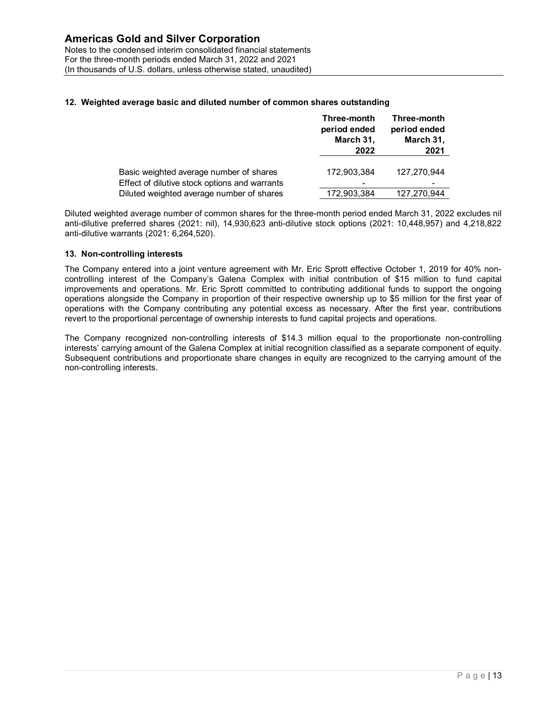For the three-month periods ended March 31, 2022 and 2021 (In thousands of U.S. dollars, unless otherwise stated, unaudited)

## 12. Weighted average basic and diluted number of common shares outstanding

| <b>Gold and Silver Corporation</b><br>ondensed interim consolidated financial statements<br>month periods ended March 31, 2022 and 2021 |                   |                   |
|-----------------------------------------------------------------------------------------------------------------------------------------|-------------------|-------------------|
|                                                                                                                                         |                   |                   |
| of U.S. dollars, unless otherwise stated, unaudited)                                                                                    |                   |                   |
|                                                                                                                                         |                   |                   |
|                                                                                                                                         |                   |                   |
| d average basic and diluted number of common shares outstanding                                                                         |                   |                   |
|                                                                                                                                         | Three-month       | Three-month       |
|                                                                                                                                         | period ended      | period ended      |
|                                                                                                                                         | March 31,<br>2022 | March 31,<br>2021 |
|                                                                                                                                         |                   |                   |
| Basic weighted average number of shares                                                                                                 | 172,903,384       | 127,270,944       |
| Effect of dilutive stock options and warrants<br>Diluted weighted average number of shares                                              | 172,903,384       | 127,270,944       |

Diluted weighted average number of common shares for the three-month period ended March 31, 2022 excludes nil anti-dilutive preferred shares (2021: nil), 14,930,623 anti-dilutive stock options (2021: 10,448,957) and 4,218,822 anti-dilutive warrants (2021: 6,264,520).

## 13. Non-controlling interests

The Company entered into a joint venture agreement with Mr. Eric Sprott effective October 1, 2019 for 40% noncontrolling interest of the Company's Galena Complex with initial contribution of \$15 million to fund capital improvements and operations. Mr. Eric Sprott committed to contributing additional funds to support the ongoing operations alongside the Company in proportion of their respective ownership up to \$5 million for the first year of operations with the Company contributing any potential excess as necessary. After the first year, contributions revert to the proportional percentage of ownership interests to fund capital projects and operations.

The Company recognized non-controlling interests of \$14.3 million equal to the proportionate non-controlling interests' carrying amount of the Galena Complex at initial recognition classified as a separate component of equity. Subsequent contributions and proportionate share changes in equity are recognized to the carrying amount of the non-controlling interests.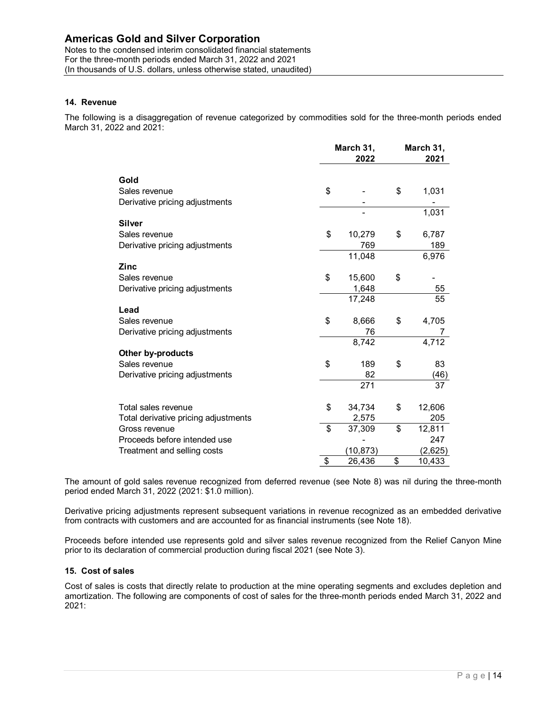Notes to the condensed interim consolidated financial statements For the three-month periods ended March 31, 2022 and 2021 (In thousands of U.S. dollars, unless otherwise stated, unaudited)

## 14. Revenue

The following is a disaggregation of revenue categorized by commodities sold for the three-month periods ended March 31, 2022 and 2021:

| <b>Gold and Silver Corporation</b>                                                                                                                         |                 |              |
|------------------------------------------------------------------------------------------------------------------------------------------------------------|-----------------|--------------|
| condensed interim consolidated financial statements<br>month periods ended March 31, 2022 and 2021<br>of U.S. dollars, unless otherwise stated, unaudited) |                 |              |
|                                                                                                                                                            |                 |              |
|                                                                                                                                                            |                 |              |
|                                                                                                                                                            |                 |              |
|                                                                                                                                                            |                 |              |
|                                                                                                                                                            |                 |              |
|                                                                                                                                                            |                 |              |
| is a disaggregation of revenue categorized by commodities sold for the three-month periods ended                                                           |                 |              |
| 22 and 2021:                                                                                                                                               |                 |              |
|                                                                                                                                                            |                 |              |
|                                                                                                                                                            | March 31,       | March 31,    |
|                                                                                                                                                            | 2022            | 2021         |
| Gold                                                                                                                                                       |                 |              |
| Sales revenue                                                                                                                                              | \$              | \$<br>1,031  |
| Derivative pricing adjustments                                                                                                                             |                 |              |
|                                                                                                                                                            |                 | 1,031        |
| <b>Silver</b>                                                                                                                                              |                 |              |
| Sales revenue                                                                                                                                              | \$<br>10,279    | \$<br>6,787  |
| Derivative pricing adjustments                                                                                                                             | 769             | 189          |
|                                                                                                                                                            | 11,048          | 6,976        |
| <b>Zinc</b>                                                                                                                                                |                 |              |
| Sales revenue                                                                                                                                              | \$<br>15,600    | \$           |
| Derivative pricing adjustments                                                                                                                             | 1,648           | 55           |
|                                                                                                                                                            | 17,248          | 55           |
| Lead                                                                                                                                                       |                 |              |
| Sales revenue                                                                                                                                              | \$<br>8,666     | \$<br>4,705  |
| Derivative pricing adjustments                                                                                                                             | 76              | 7            |
|                                                                                                                                                            | 8,742           | 4,712        |
| Other by-products<br>Sales revenue                                                                                                                         |                 |              |
| Derivative pricing adjustments                                                                                                                             | \$<br>189<br>82 | \$<br>83     |
|                                                                                                                                                            | 271             | (46)<br>37   |
|                                                                                                                                                            |                 |              |
| Total sales revenue                                                                                                                                        | \$<br>34,734    | \$<br>12,606 |
| Total derivative pricing adjustments                                                                                                                       | 2,575           | 205          |
| Gross revenue                                                                                                                                              | \$<br>37,309    | \$<br>12,811 |
| Proceeds before intended use                                                                                                                               |                 | 247          |
|                                                                                                                                                            | (10, 873)       | (2,625)      |
| Treatment and selling costs                                                                                                                                | \$<br>26,436    | \$           |

The amount of gold sales revenue recognized from deferred revenue (see Note 8) was nil during the three-month period ended March 31, 2022 (2021: \$1.0 million).

Derivative pricing adjustments represent subsequent variations in revenue recognized as an embedded derivative from contracts with customers and are accounted for as financial instruments (see Note 18).

Proceeds before intended use represents gold and silver sales revenue recognized from the Relief Canyon Mine prior to its declaration of commercial production during fiscal 2021 (see Note 3).

### 15. Cost of sales

Cost of sales is costs that directly relate to production at the mine operating segments and excludes depletion and amortization. The following are components of cost of sales for the three-month periods ended March 31, 2022 and 2021: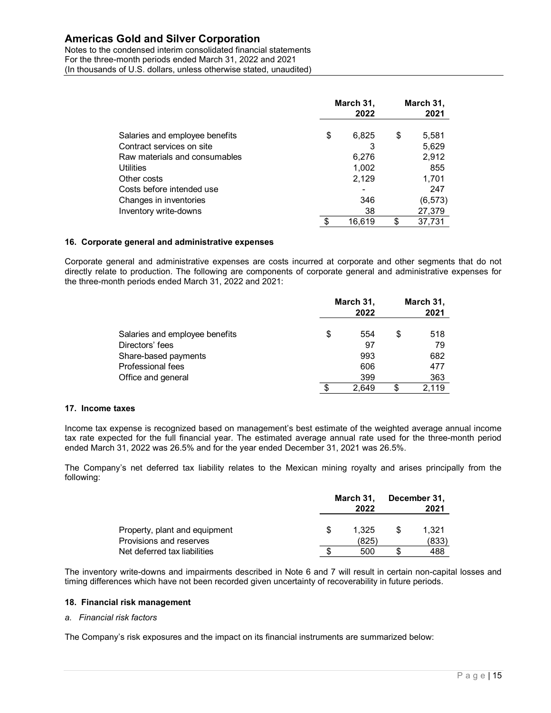Notes to the condensed interim consolidated financial statements For the three-month periods ended March 31, 2022 and 2021 (In thousands of U.S. dollars, unless otherwise stated, unaudited)

| <b>Gold and Silver Corporation</b>                                                                                                                         |                            |           |               |           |
|------------------------------------------------------------------------------------------------------------------------------------------------------------|----------------------------|-----------|---------------|-----------|
| condensed interim consolidated financial statements<br>month periods ended March 31, 2022 and 2021<br>of U.S. dollars, unless otherwise stated, unaudited) |                            |           |               |           |
|                                                                                                                                                            |                            |           |               |           |
|                                                                                                                                                            |                            |           |               |           |
|                                                                                                                                                            |                            |           |               |           |
|                                                                                                                                                            |                            |           |               |           |
|                                                                                                                                                            |                            |           |               |           |
|                                                                                                                                                            |                            | March 31, |               | March 31, |
|                                                                                                                                                            |                            | 2022      |               | 2021      |
|                                                                                                                                                            |                            |           |               |           |
| Salaries and employee benefits                                                                                                                             | \$                         | 6,825     | \$            | 5,581     |
| Contract services on site                                                                                                                                  |                            | 3         |               | 5,629     |
| Raw materials and consumables                                                                                                                              |                            | 6,276     |               | 2,912     |
| Utilities                                                                                                                                                  |                            | 1,002     |               | 855       |
| Other costs                                                                                                                                                |                            | 2,129     |               | 1,701     |
| Costs before intended use                                                                                                                                  |                            |           |               | 247       |
| Changes in inventories                                                                                                                                     |                            | 346       |               | (6, 573)  |
| Inventory write-downs                                                                                                                                      |                            | 38        |               | 27,379    |
|                                                                                                                                                            | $\boldsymbol{\mathsf{\$}}$ | 16,619    | \$            | 37,731    |
|                                                                                                                                                            |                            |           |               |           |
| te general and administrative expenses                                                                                                                     |                            |           |               |           |
|                                                                                                                                                            |                            |           |               |           |
| neral and administrative expenses are costs incurred at corporate and other segments that do not                                                           |                            |           |               |           |
| to production. The following are components of corporate general and administrative expenses for<br>th periods ended March 31, 2022 and 2021:              |                            |           |               |           |
|                                                                                                                                                            |                            |           |               |           |
|                                                                                                                                                            |                            | March 31, |               | March 31, |
|                                                                                                                                                            |                            | 2022      |               | 2021      |
|                                                                                                                                                            |                            |           |               |           |
| Salaries and employee benefits                                                                                                                             | \$                         | 554       | \$            | 518       |
|                                                                                                                                                            |                            | 97        |               | 79        |
|                                                                                                                                                            |                            | 993       |               | 682       |
| Directors' fees                                                                                                                                            |                            | 606       |               | 477       |
| Share-based payments                                                                                                                                       |                            | 399       |               | 363       |
| Professional fees                                                                                                                                          |                            |           |               |           |
| Office and general                                                                                                                                         | \$                         | 2,649     | $\frac{1}{2}$ | 2,119     |

## 16. Corporate general and administrative expenses

Corporate general and administrative expenses are costs incurred at corporate and other segments that do not directly relate to production. The following are components of corporate general and administrative expenses for the three-month periods ended March 31, 2022 and 2021:

| \$                                                                                                                                                                                                                                                                            | 6,276<br>1,002<br>2,129<br>346<br>38                  |                                                      | 2,912<br>855<br>1,701                                                                                                                                                                                            |
|-------------------------------------------------------------------------------------------------------------------------------------------------------------------------------------------------------------------------------------------------------------------------------|-------------------------------------------------------|------------------------------------------------------|------------------------------------------------------------------------------------------------------------------------------------------------------------------------------------------------------------------|
|                                                                                                                                                                                                                                                                               |                                                       |                                                      |                                                                                                                                                                                                                  |
|                                                                                                                                                                                                                                                                               |                                                       |                                                      |                                                                                                                                                                                                                  |
|                                                                                                                                                                                                                                                                               |                                                       |                                                      |                                                                                                                                                                                                                  |
|                                                                                                                                                                                                                                                                               |                                                       |                                                      | 247                                                                                                                                                                                                              |
|                                                                                                                                                                                                                                                                               |                                                       |                                                      | (6, 573)                                                                                                                                                                                                         |
|                                                                                                                                                                                                                                                                               |                                                       |                                                      | 27,379                                                                                                                                                                                                           |
|                                                                                                                                                                                                                                                                               | 16,619                                                | \$                                                   | 37,731                                                                                                                                                                                                           |
|                                                                                                                                                                                                                                                                               |                                                       |                                                      |                                                                                                                                                                                                                  |
|                                                                                                                                                                                                                                                                               |                                                       |                                                      |                                                                                                                                                                                                                  |
|                                                                                                                                                                                                                                                                               | 2022                                                  |                                                      | March 31,<br>2021                                                                                                                                                                                                |
|                                                                                                                                                                                                                                                                               |                                                       |                                                      | 518                                                                                                                                                                                                              |
|                                                                                                                                                                                                                                                                               |                                                       |                                                      | 79                                                                                                                                                                                                               |
|                                                                                                                                                                                                                                                                               |                                                       |                                                      | 682                                                                                                                                                                                                              |
|                                                                                                                                                                                                                                                                               |                                                       |                                                      | 477                                                                                                                                                                                                              |
|                                                                                                                                                                                                                                                                               |                                                       |                                                      | 363                                                                                                                                                                                                              |
|                                                                                                                                                                                                                                                                               |                                                       |                                                      | 2,119                                                                                                                                                                                                            |
|                                                                                                                                                                                                                                                                               |                                                       |                                                      |                                                                                                                                                                                                                  |
|                                                                                                                                                                                                                                                                               |                                                       |                                                      |                                                                                                                                                                                                                  |
|                                                                                                                                                                                                                                                                               |                                                       |                                                      |                                                                                                                                                                                                                  |
| pense is recognized based on management's best estimate of the weighted average annual income<br>ted for the full financial year. The estimated average annual rate used for the three-month period<br>31, 2022 was 26.5% and for the year ended December 31, 2021 was 26.5%. |                                                       |                                                      |                                                                                                                                                                                                                  |
| is net deferred tax liability relates to the Mexican mining royalty and arises principally from the                                                                                                                                                                           |                                                       |                                                      |                                                                                                                                                                                                                  |
|                                                                                                                                                                                                                                                                               | March 31,                                             |                                                      | December 31,                                                                                                                                                                                                     |
|                                                                                                                                                                                                                                                                               | 2022                                                  |                                                      | 2021                                                                                                                                                                                                             |
|                                                                                                                                                                                                                                                                               |                                                       |                                                      |                                                                                                                                                                                                                  |
| \$                                                                                                                                                                                                                                                                            | 1,325<br>(825)                                        | \$                                                   | 1,321<br>(833)                                                                                                                                                                                                   |
|                                                                                                                                                                                                                                                                               | th periods ended March 31, 2022 and 2021:<br>\$<br>\$ | March 31,<br>554<br>97<br>993<br>606<br>399<br>2,649 | ieral and administrative expenses are costs incurred at corporate and other segments that do not<br>to production. The following are components of corporate general and administrative expenses for<br>\$<br>\$ |

### 17. Income taxes

Income tax expense is recognized based on management's best estimate of the weighted average annual income tax rate expected for the full financial year. The estimated average annual rate used for the three-month period ended March 31, 2022 was 26.5% and for the year ended December 31, 2021 was 26.5%.

The Company's net deferred tax liability relates to the Mexican mining royalty and arises principally from the following:

|                               | March 31, | December 31, |
|-------------------------------|-----------|--------------|
|                               | 2022      | 2021         |
| Property, plant and equipment | 1.325     | 1.321        |
| Provisions and reserves       | (825)     | (833)        |
| Net deferred tax liabilities  | 500       | 488          |

The inventory write-downs and impairments described in Note 6 and 7 will result in certain non-capital losses and timing differences which have not been recorded given uncertainty of recoverability in future periods.

## 18. Financial risk management

### a. Financial risk factors

The Company's risk exposures and the impact on its financial instruments are summarized below: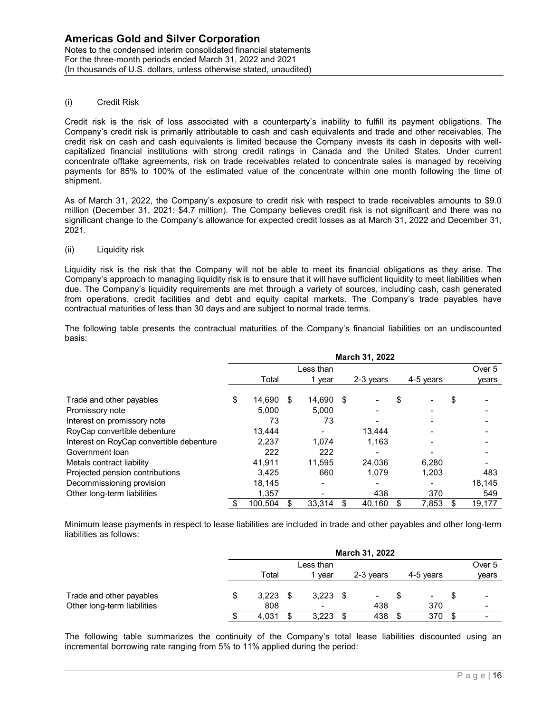Notes to the condensed interim consolidated financial statements For the three-month periods ended March 31, 2022 and 2021 (In thousands of U.S. dollars, unless otherwise stated, unaudited)

## (i) Credit Risk

Credit risk is the risk of loss associated with a counterparty's inability to fulfill its payment obligations. The Company's credit risk is primarily attributable to cash and cash equivalents and trade and other receivables. The credit risk on cash and cash equivalents is limited because the Company invests its cash in deposits with wellcapitalized financial institutions with strong credit ratings in Canada and the United States. Under current concentrate offtake agreements, risk on trade receivables related to concentrate sales is managed by receiving payments for 85% to 100% of the estimated value of the concentrate within one month following the time of shipment.

### (ii) Liquidity risk

| credit risk on cash and cash equivalents is limited because the Company invests its cash in deposits with well-<br>capitalized financial institutions with strong credit ratings in Canada and the United States. Under current<br>concentrate offtake agreements, risk on trade receivables related to concentrate sales is managed by receiving<br>payments for 85% to 100% of the estimated value of the concentrate within one month following the time of<br>shipment.                                                                                          |                   |                     |                |     |               | OUTIPariy 3 Groun non is primarily annibulable to cash and cash equivalents and trade and other receivables. The |
|----------------------------------------------------------------------------------------------------------------------------------------------------------------------------------------------------------------------------------------------------------------------------------------------------------------------------------------------------------------------------------------------------------------------------------------------------------------------------------------------------------------------------------------------------------------------|-------------------|---------------------|----------------|-----|---------------|------------------------------------------------------------------------------------------------------------------|
| As of March 31, 2022, the Company's exposure to credit risk with respect to trade receivables amounts to \$9.0<br>million (December 31, 2021: \$4.7 million). The Company believes credit risk is not significant and there was no<br>significant change to the Company's allowance for expected credit losses as at March 31, 2022 and December 31,<br>2021.                                                                                                                                                                                                        |                   |                     |                |     |               |                                                                                                                  |
| (ii)<br>Liquidity risk                                                                                                                                                                                                                                                                                                                                                                                                                                                                                                                                               |                   |                     |                |     |               |                                                                                                                  |
| Liquidity risk is the risk that the Company will not be able to meet its financial obligations as they arise. The<br>Company's approach to managing liquidity risk is to ensure that it will have sufficient liquidity to meet liabilities when<br>due. The Company's liquidity requirements are met through a variety of sources, including cash, cash generated<br>from operations, credit facilities and debt and equity capital markets. The Company's trade payables have<br>contractual maturities of less than 30 days and are subject to normal trade terms. |                   |                     |                |     |               |                                                                                                                  |
| The following table presents the contractual maturities of the Company's financial liabilities on an undiscounted<br>basis:                                                                                                                                                                                                                                                                                                                                                                                                                                          |                   |                     |                |     |               |                                                                                                                  |
|                                                                                                                                                                                                                                                                                                                                                                                                                                                                                                                                                                      |                   |                     | March 31, 2022 |     |               |                                                                                                                  |
|                                                                                                                                                                                                                                                                                                                                                                                                                                                                                                                                                                      | Total             | Less than<br>1 year | 2-3 years      |     | 4-5 years     | Over 5<br>years                                                                                                  |
|                                                                                                                                                                                                                                                                                                                                                                                                                                                                                                                                                                      |                   |                     |                |     |               |                                                                                                                  |
| Trade and other payables                                                                                                                                                                                                                                                                                                                                                                                                                                                                                                                                             | 14,690 \$         | 14,690 \$           |                |     |               | \$                                                                                                               |
|                                                                                                                                                                                                                                                                                                                                                                                                                                                                                                                                                                      | 5,000             | 5,000               |                |     |               |                                                                                                                  |
| Promissory note                                                                                                                                                                                                                                                                                                                                                                                                                                                                                                                                                      |                   |                     |                |     |               |                                                                                                                  |
| Interest on promissory note                                                                                                                                                                                                                                                                                                                                                                                                                                                                                                                                          | 73                | 73                  |                |     |               |                                                                                                                  |
| RoyCap convertible debenture                                                                                                                                                                                                                                                                                                                                                                                                                                                                                                                                         | 13,444            |                     | 13,444         |     |               |                                                                                                                  |
| Interest on RoyCap convertible debenture                                                                                                                                                                                                                                                                                                                                                                                                                                                                                                                             | 2,237             | 1,074               | 1,163          |     |               |                                                                                                                  |
| Government loan                                                                                                                                                                                                                                                                                                                                                                                                                                                                                                                                                      | 222               | 222                 |                |     |               |                                                                                                                  |
| Metals contract liability                                                                                                                                                                                                                                                                                                                                                                                                                                                                                                                                            | 41,911            | 11,595              | 24,036         |     | 6,280         |                                                                                                                  |
| Projected pension contributions                                                                                                                                                                                                                                                                                                                                                                                                                                                                                                                                      | 3,425             | 660                 | 1,079          |     | 1,203         | 483                                                                                                              |
| Decommissioning provision                                                                                                                                                                                                                                                                                                                                                                                                                                                                                                                                            | 18,145            |                     |                |     |               | 18,145                                                                                                           |
| Other long-term liabilities                                                                                                                                                                                                                                                                                                                                                                                                                                                                                                                                          | 1,357             |                     | 438            |     | 370           | 549                                                                                                              |
|                                                                                                                                                                                                                                                                                                                                                                                                                                                                                                                                                                      | 100,504 \$        | 33,314 \$           | 40,160         | -\$ | 7,853 \$      | 19,177                                                                                                           |
| Minimum lease payments in respect to lease liabilities are included in trade and other payables and other long-term<br>liabilities as follows:                                                                                                                                                                                                                                                                                                                                                                                                                       |                   |                     |                |     |               |                                                                                                                  |
|                                                                                                                                                                                                                                                                                                                                                                                                                                                                                                                                                                      |                   |                     | March 31, 2022 |     |               |                                                                                                                  |
|                                                                                                                                                                                                                                                                                                                                                                                                                                                                                                                                                                      | Total             | Less than<br>1 year | 2-3 years      |     | 4-5 years     | Over 5<br>years                                                                                                  |
| Trade and other payables                                                                                                                                                                                                                                                                                                                                                                                                                                                                                                                                             | $3,223$ \$        | $3,223$ \$          |                | \$  |               | \$                                                                                                               |
| Other long-term liabilities                                                                                                                                                                                                                                                                                                                                                                                                                                                                                                                                          | 808<br>$4,031$ \$ | $3,223$ \$          | 438<br>438     |     | 370<br>370 \$ |                                                                                                                  |

|                             |         |       |    |                          |      | March 31, 2022 |                |   |        |
|-----------------------------|---------|-------|----|--------------------------|------|----------------|----------------|---|--------|
|                             |         |       |    | Less than                |      |                |                |   | Over 5 |
|                             |         | Total |    | vear                     |      | 2-3 vears      | 4-5 vears      |   | years  |
| Trade and other payables    | S       | 3,223 | -S | 3,223                    | - \$ | ۰.             | $\blacksquare$ | S | -      |
| Other long-term liabilities |         | 808   |    | $\overline{\phantom{0}}$ |      | 438            | 370            |   |        |
|                             | ጦ<br>۰D | 4,031 | \$ | 3,223                    | \$   | 438            | 370            | S |        |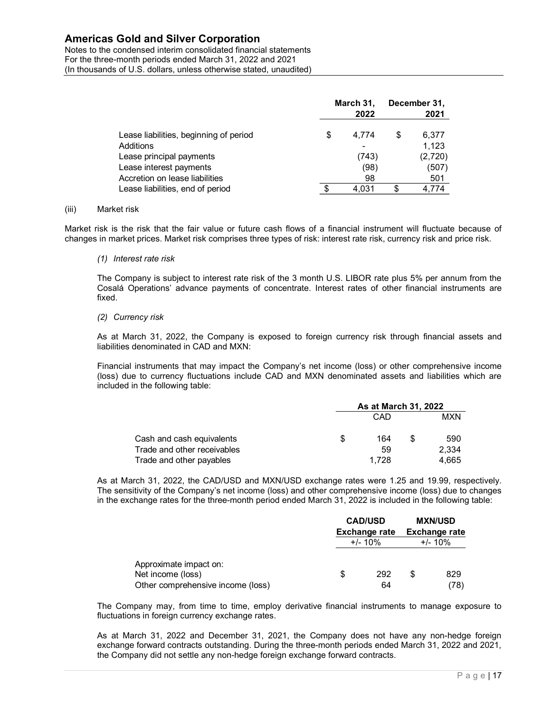Notes to the condensed interim consolidated financial statements For the three-month periods ended March 31, 2022 and 2021 (In thousands of U.S. dollars, unless otherwise stated, unaudited)

| <b>Gold and Silver Corporation</b><br>ondensed interim consolidated financial statements            |             |                |  |
|-----------------------------------------------------------------------------------------------------|-------------|----------------|--|
| month periods ended March 31, 2022 and 2021<br>of U.S. dollars, unless otherwise stated, unaudited) |             |                |  |
|                                                                                                     |             |                |  |
|                                                                                                     |             |                |  |
|                                                                                                     | March 31,   | December 31,   |  |
|                                                                                                     | 2022        | \$<br>2021     |  |
| Lease liabilities, beginning of period<br>Additions                                                 | \$<br>4,774 | 6,377<br>1,123 |  |
| Lease principal payments                                                                            | (743)       | (2,720)        |  |
| Lease interest payments                                                                             | (98)        | (507)          |  |
| Accretion on lease liabilities                                                                      | 98          | 501            |  |
| Lease liabilities, end of period                                                                    | \$<br>4,031 | \$<br>4,774    |  |

#### (iii) Market risk

Market risk is the risk that the fair value or future cash flows of a financial instrument will fluctuate because of changes in market prices. Market risk comprises three types of risk: interest rate risk, currency risk and price risk.

#### (1) Interest rate risk

The Company is subject to interest rate risk of the 3 month U.S. LIBOR rate plus 5% per annum from the Cosalá Operations' advance payments of concentrate. Interest rates of other financial instruments are fixed.

## (2) Currency risk

As at March 31, 2022, the Company is exposed to foreign currency risk through financial assets and liabilities denominated in CAD and MXN:

Financial instruments that may impact the Company's net income (loss) or other comprehensive income (loss) due to currency fluctuations include CAD and MXN denominated assets and liabilities which are included in the following table:

| ase liabilities, end of period                                                                                                                                                                                                                                                                   | \$<br>4,031<br>\$    | 4,774      |  |
|--------------------------------------------------------------------------------------------------------------------------------------------------------------------------------------------------------------------------------------------------------------------------------------------------|----------------------|------------|--|
| isk                                                                                                                                                                                                                                                                                              |                      |            |  |
| e risk that the fair value or future cash flows of a financial instrument will fluctuate because of<br>et prices. Market risk comprises three types of risk: interest rate risk, currency risk and price risk.                                                                                   |                      |            |  |
| rest rate risk                                                                                                                                                                                                                                                                                   |                      |            |  |
| mpany is subject to interest rate risk of the 3 month U.S. LIBOR rate plus 5% per annum from the<br>Operations' advance payments of concentrate. Interest rates of other financial instruments are                                                                                               |                      |            |  |
| rency risk                                                                                                                                                                                                                                                                                       |                      |            |  |
| larch 31, 2022, the Company is exposed to foreign currency risk through financial assets and<br>s denominated in CAD and MXN:                                                                                                                                                                    |                      |            |  |
| Il instruments that may impact the Company's net income (loss) or other comprehensive income<br>ue to currency fluctuations include CAD and MXN denominated assets and liabilities which are<br>I in the following table:                                                                        |                      |            |  |
|                                                                                                                                                                                                                                                                                                  | As at March 31, 2022 |            |  |
|                                                                                                                                                                                                                                                                                                  | CAD                  | <b>MXN</b> |  |
| Cash and cash equivalents                                                                                                                                                                                                                                                                        | \$<br>164            | \$<br>590  |  |
| Trade and other receivables                                                                                                                                                                                                                                                                      | 59                   | 2,334      |  |
| Trade and other payables                                                                                                                                                                                                                                                                         | 1,728                | 4,665      |  |
| arch 31, 2022, the CAD/USD and MXN/USD exchange rates were 1.25 and 19.99, respectively.<br>sitivity of the Company's net income (loss) and other comprehensive income (loss) due to changes<br>change rates for the three-month period ended March 31, 2022 is included in the following table: |                      |            |  |
|                                                                                                                                                                                                                                                                                                  |                      |            |  |

As at March 31, 2022, the CAD/USD and MXN/USD exchange rates were 1.25 and 19.99, respectively. The sensitivity of the Company's net income (loss) and other comprehensive income (loss) due to changes in the exchange rates for the three-month period ended March 31, 2022 is included in the following table:

| larch 31, 2022, the Company is exposed to foreign currency risk through financial assets and |                      |       |                                                                                                                                                                                                                                                                                                                                                                                                                                                                                                                           |
|----------------------------------------------------------------------------------------------|----------------------|-------|---------------------------------------------------------------------------------------------------------------------------------------------------------------------------------------------------------------------------------------------------------------------------------------------------------------------------------------------------------------------------------------------------------------------------------------------------------------------------------------------------------------------------|
|                                                                                              |                      |       |                                                                                                                                                                                                                                                                                                                                                                                                                                                                                                                           |
|                                                                                              |                      |       |                                                                                                                                                                                                                                                                                                                                                                                                                                                                                                                           |
|                                                                                              | CAD                  |       | <b>MXN</b>                                                                                                                                                                                                                                                                                                                                                                                                                                                                                                                |
| \$                                                                                           | 164                  | \$    | 590                                                                                                                                                                                                                                                                                                                                                                                                                                                                                                                       |
|                                                                                              | 59                   |       | 2,334                                                                                                                                                                                                                                                                                                                                                                                                                                                                                                                     |
|                                                                                              |                      |       | 4,665                                                                                                                                                                                                                                                                                                                                                                                                                                                                                                                     |
|                                                                                              | <b>CAD/USD</b>       |       | <b>MXN/USD</b>                                                                                                                                                                                                                                                                                                                                                                                                                                                                                                            |
|                                                                                              |                      |       |                                                                                                                                                                                                                                                                                                                                                                                                                                                                                                                           |
|                                                                                              | <b>Exchange rate</b> |       | <b>Exchange rate</b>                                                                                                                                                                                                                                                                                                                                                                                                                                                                                                      |
|                                                                                              | $+/- 10%$            |       | $+/- 10%$                                                                                                                                                                                                                                                                                                                                                                                                                                                                                                                 |
|                                                                                              |                      |       |                                                                                                                                                                                                                                                                                                                                                                                                                                                                                                                           |
| \$                                                                                           | 292<br>64            | \$    | 829<br>(78)                                                                                                                                                                                                                                                                                                                                                                                                                                                                                                               |
|                                                                                              |                      | 1,728 | al instruments that may impact the Company's net income (loss) or other comprehensive income<br>ue to currency fluctuations include CAD and MXN denominated assets and liabilities which are<br>As at March 31, 2022<br>arch 31, 2022, the CAD/USD and MXN/USD exchange rates were 1.25 and 19.99, respectively.<br>sitivity of the Company's net income (loss) and other comprehensive income (loss) due to changes<br>cchange rates for the three-month period ended March 31, 2022 is included in the following table: |

The Company may, from time to time, employ derivative financial instruments to manage exposure to fluctuations in foreign currency exchange rates.

As at March 31, 2022 and December 31, 2021, the Company does not have any non-hedge foreign exchange forward contracts outstanding. During the three-month periods ended March 31, 2022 and 2021, the Company did not settle any non-hedge foreign exchange forward contracts.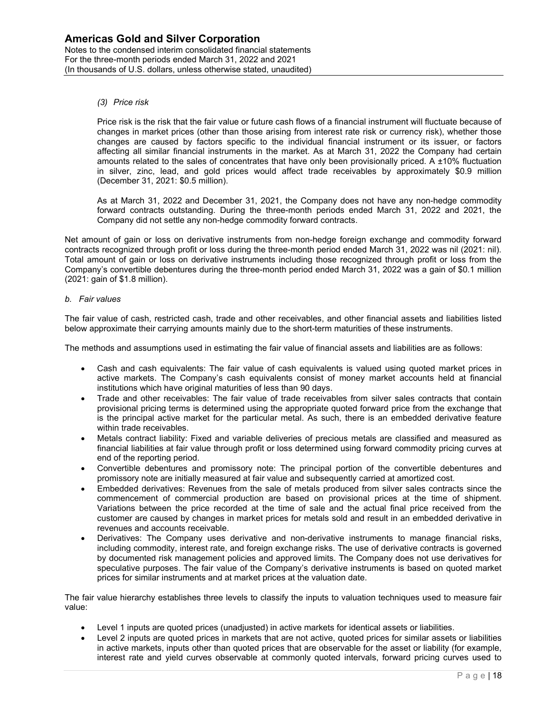### (3) Price risk

Price risk is the risk that the fair value or future cash flows of a financial instrument will fluctuate because of changes in market prices (other than those arising from interest rate risk or currency risk), whether those changes are caused by factors specific to the individual financial instrument or its issuer, or factors affecting all similar financial instruments in the market. As at March 31, 2022 the Company had certain amounts related to the sales of concentrates that have only been provisionally priced. A ±10% fluctuation in silver, zinc, lead, and gold prices would affect trade receivables by approximately \$0.9 million (December 31, 2021: \$0.5 million).

As at March 31, 2022 and December 31, 2021, the Company does not have any non-hedge commodity forward contracts outstanding. During the three-month periods ended March 31, 2022 and 2021, the Company did not settle any non-hedge commodity forward contracts.

Net amount of gain or loss on derivative instruments from non-hedge foreign exchange and commodity forward contracts recognized through profit or loss during the three-month period ended March 31, 2022 was nil (2021: nil). Total amount of gain or loss on derivative instruments including those recognized through profit or loss from the Company's convertible debentures during the three-month period ended March 31, 2022 was a gain of \$0.1 million (2021: gain of \$1.8 million).

### b. Fair values

The fair value of cash, restricted cash, trade and other receivables, and other financial assets and liabilities listed below approximate their carrying amounts mainly due to the short-term maturities of these instruments.

The methods and assumptions used in estimating the fair value of financial assets and liabilities are as follows:

- Cash and cash equivalents: The fair value of cash equivalents is valued using quoted market prices in active markets. The Company's cash equivalents consist of money market accounts held at financial institutions which have original maturities of less than 90 days.
- Trade and other receivables: The fair value of trade receivables from silver sales contracts that contain provisional pricing terms is determined using the appropriate quoted forward price from the exchange that is the principal active market for the particular metal. As such, there is an embedded derivative feature within trade receivables.
- Metals contract liability: Fixed and variable deliveries of precious metals are classified and measured as financial liabilities at fair value through profit or loss determined using forward commodity pricing curves at end of the reporting period.
- Convertible debentures and promissory note: The principal portion of the convertible debentures and promissory note are initially measured at fair value and subsequently carried at amortized cost.
- Embedded derivatives: Revenues from the sale of metals produced from silver sales contracts since the commencement of commercial production are based on provisional prices at the time of shipment. Variations between the price recorded at the time of sale and the actual final price received from the customer are caused by changes in market prices for metals sold and result in an embedded derivative in revenues and accounts receivable.
- Derivatives: The Company uses derivative and non-derivative instruments to manage financial risks, including commodity, interest rate, and foreign exchange risks. The use of derivative contracts is governed by documented risk management policies and approved limits. The Company does not use derivatives for speculative purposes. The fair value of the Company's derivative instruments is based on quoted market prices for similar instruments and at market prices at the valuation date.

The fair value hierarchy establishes three levels to classify the inputs to valuation techniques used to measure fair value:

- Level 1 inputs are quoted prices (unadjusted) in active markets for identical assets or liabilities.
- Level 2 inputs are quoted prices in markets that are not active, quoted prices for similar assets or liabilities in active markets, inputs other than quoted prices that are observable for the asset or liability (for example, interest rate and yield curves observable at commonly quoted intervals, forward pricing curves used to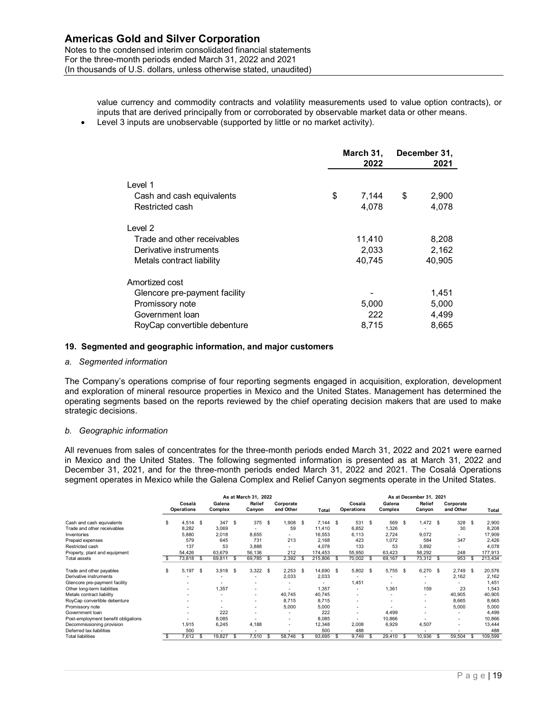Notes to the condensed interim consolidated financial statements For the three-month periods ended March 31, 2022 and 2021 (In thousands of U.S. dollars, unless otherwise stated, unaudited)

> value currency and commodity contracts and volatility measurements used to value option contracts), or inputs that are derived principally from or corroborated by observable market data or other means.

Level 3 inputs are unobservable (supported by little or no market activity).

| old and Silver Corporation<br>densed interim consolidated financial statements<br>onth periods ended March 31, 2022 and 2021<br>U.S. dollars, unless otherwise stated, unaudited) |             |              |
|-----------------------------------------------------------------------------------------------------------------------------------------------------------------------------------|-------------|--------------|
|                                                                                                                                                                                   |             |              |
|                                                                                                                                                                                   |             |              |
|                                                                                                                                                                                   |             |              |
|                                                                                                                                                                                   |             |              |
|                                                                                                                                                                                   |             |              |
|                                                                                                                                                                                   |             |              |
|                                                                                                                                                                                   |             |              |
| urrency and commodity contracts and volatility measurements used to value option contracts), or                                                                                   |             |              |
| hat are derived principally from or corroborated by observable market data or other means.                                                                                        |             |              |
| inputs are unobservable (supported by little or no market activity).                                                                                                              |             |              |
|                                                                                                                                                                                   |             |              |
|                                                                                                                                                                                   | March 31,   | December 31, |
|                                                                                                                                                                                   | 2022        | 2021         |
| Level 1                                                                                                                                                                           |             |              |
| Cash and cash equivalents                                                                                                                                                         | \$<br>7,144 | \$<br>2,900  |
| Restricted cash                                                                                                                                                                   | 4,078       | 4,078        |
|                                                                                                                                                                                   |             |              |
|                                                                                                                                                                                   |             |              |
|                                                                                                                                                                                   | 11,410      | 8,208        |
| Level 2<br>Trade and other receivables                                                                                                                                            |             | 2,162        |
| Derivative instruments                                                                                                                                                            | 2,033       |              |
| Metals contract liability                                                                                                                                                         | 40,745      | 40,905       |
|                                                                                                                                                                                   |             |              |
|                                                                                                                                                                                   |             |              |
| Amortized cost<br>Glencore pre-payment facility                                                                                                                                   |             | 1,451        |
| Promissory note                                                                                                                                                                   | 5,000       | 5,000        |
| Government loan                                                                                                                                                                   | 222         | 4,499        |
| RoyCap convertible debenture                                                                                                                                                      | 8,715       | 8,665        |
| and geographic information, and major customers                                                                                                                                   |             |              |
|                                                                                                                                                                                   |             |              |
| information                                                                                                                                                                       |             |              |

## 19. Segmented and geographic information, and major customers

### a. Segmented information

#### b. Geographic information

| 19. Segmented and geographic information, and major customers<br>a. Segmented information<br>The Company's operations comprise of four reporting segments engaged in acquisition, exploration, development<br>and exploration of mineral resource properties in Mexico and the United States. Management has determined the<br>operating segments based on the reports reviewed by the chief operating decision makers that are used to make<br>strategic decisions. | Government loan<br>RoyCap convertible debenture                      |                                                                                      |                                                             |                                                                                                                                                        |                                                                                                                           | 8,715                                                                                               | 222                                                                                                                       | 4,499<br>8,665                                                         |                                                                            |                                                                                                   |
|----------------------------------------------------------------------------------------------------------------------------------------------------------------------------------------------------------------------------------------------------------------------------------------------------------------------------------------------------------------------------------------------------------------------------------------------------------------------|----------------------------------------------------------------------|--------------------------------------------------------------------------------------|-------------------------------------------------------------|--------------------------------------------------------------------------------------------------------------------------------------------------------|---------------------------------------------------------------------------------------------------------------------------|-----------------------------------------------------------------------------------------------------|---------------------------------------------------------------------------------------------------------------------------|------------------------------------------------------------------------|----------------------------------------------------------------------------|---------------------------------------------------------------------------------------------------|
|                                                                                                                                                                                                                                                                                                                                                                                                                                                                      |                                                                      |                                                                                      |                                                             |                                                                                                                                                        |                                                                                                                           |                                                                                                     |                                                                                                                           |                                                                        |                                                                            |                                                                                                   |
|                                                                                                                                                                                                                                                                                                                                                                                                                                                                      |                                                                      |                                                                                      |                                                             |                                                                                                                                                        |                                                                                                                           |                                                                                                     |                                                                                                                           |                                                                        |                                                                            |                                                                                                   |
|                                                                                                                                                                                                                                                                                                                                                                                                                                                                      |                                                                      |                                                                                      |                                                             |                                                                                                                                                        |                                                                                                                           |                                                                                                     |                                                                                                                           |                                                                        |                                                                            |                                                                                                   |
| b. Geographic information<br>All revenues from sales of concentrates for the three-month periods ended March 31, 2022 and 2021 were earned                                                                                                                                                                                                                                                                                                                           |                                                                      |                                                                                      |                                                             |                                                                                                                                                        |                                                                                                                           |                                                                                                     |                                                                                                                           |                                                                        |                                                                            |                                                                                                   |
| in Mexico and the United States. The following segmented information is presented as at March 31, 2022 and<br>December 31, 2021, and for the three-month periods ended March 31, 2022 and 2021. The Cosalá Operations<br>segment operates in Mexico while the Galena Complex and Relief Canyon segments operate in the United States.                                                                                                                                |                                                                      |                                                                                      |                                                             |                                                                                                                                                        |                                                                                                                           |                                                                                                     |                                                                                                                           |                                                                        |                                                                            |                                                                                                   |
|                                                                                                                                                                                                                                                                                                                                                                                                                                                                      | Cosalá<br><b>Operations</b>                                          | Galena<br>Complex                                                                    | As at March 31, 2022<br>Relief<br>Canyon                    | Corporate<br>and Other                                                                                                                                 | Total                                                                                                                     | Cosalá<br><b>Operations</b>                                                                         | Galena<br>Complex                                                                                                         | As at December 31, 2021<br>Relief<br>Canyon                            | Corporate<br>and Other                                                     | Total                                                                                             |
| Cash and cash equivalents<br>Trade and other receivables<br>Inventories<br>Prepaid expenses<br>Restricted cash<br>Property, plant and equipment<br>Total assets                                                                                                                                                                                                                                                                                                      | $4,514$ \$<br>8,282<br>5,880<br>579<br>137<br>54,426<br>73,818<br>\$ | 347<br>- \$<br>3,069<br>2,018<br>645<br>53<br>63.679<br>$\sqrt{2}$<br>69,811<br>- \$ | 375 \$<br>8,655<br>731<br>3,888<br>56,136<br>69,785<br>- \$ | 1,908<br>- \$<br>59<br>$\sim$<br>213<br>$\sim$<br>212<br>2,392<br>-S                                                                                   | $7,144$ \$<br>11,410<br>16,553<br>2,168<br>4,078<br>174,453<br>215,806<br>$\sqrt{3}$                                      | 531<br>- \$<br>6,852<br>6,113<br>423<br>133<br>55.950<br>$70,002$ \$                                | 569<br>- \$<br>1,326<br>2,724<br>1,072<br>53<br>63.423<br>69,167<br>$\mathsf{s}$                                          | $1,472$ \$<br>9,072<br>584<br>3,892<br>58.292<br>73,312<br>$\sqrt{3}$  | 328<br>- \$<br>30<br>$\sim$<br>347<br>$\sim$<br>248<br>953<br>$\mathbf{s}$ | 2,900<br>8,208<br>17,909<br>2,426<br>4,078<br>177,913<br>213,434                                  |
| Trade and other payables<br>Derivative instruments<br>Glencore pre-payment facility<br>Other long-term liabilities<br>Metals contract liability<br>RoyCap convertible debenture<br>Promissory note<br>Government loan<br>Post-employment benefit obligations                                                                                                                                                                                                         | $5,197$ \$<br>s.<br>$\overline{\phantom{a}}$<br>1,915<br>500         | 3,918<br>- \$<br>1,357<br>222<br>8,085<br>6,245                                      | $3,322$ \$<br>$\overline{\phantom{a}}$<br>4,188             | 2,253<br>-S<br>2,033<br>$\overline{\phantom{a}}$<br>40,745<br>8,715<br>5,000<br>$\overline{\phantom{a}}$<br>$\overline{\phantom{a}}$<br>$\overline{a}$ | 14,690<br>- \$<br>2,033<br>$\overline{\phantom{a}}$<br>1,357<br>40,745<br>8,715<br>5,000<br>222<br>8,085<br>12,348<br>500 | 5,802 \$<br>1,451<br>$\overline{\phantom{a}}$<br>$\overline{\phantom{a}}$<br>$\sim$<br>2,008<br>488 | 5,755 \$<br>$\sim$<br>1,361<br>$\overline{\phantom{a}}$<br>$\overline{\phantom{a}}$<br>$\sim$<br>4,499<br>10,866<br>6,929 | 6,270 \$<br>$\blacksquare$<br>159<br>$\overline{\phantom{a}}$<br>4,507 | 2,749<br>- S<br>2,162<br>23<br>40,905<br>8,665<br>5,000<br>$\overline{a}$  | 20,576<br>2,162<br>1,451<br>1,543<br>40,905<br>8,665<br>5,000<br>4,499<br>10,866<br>13,444<br>488 |